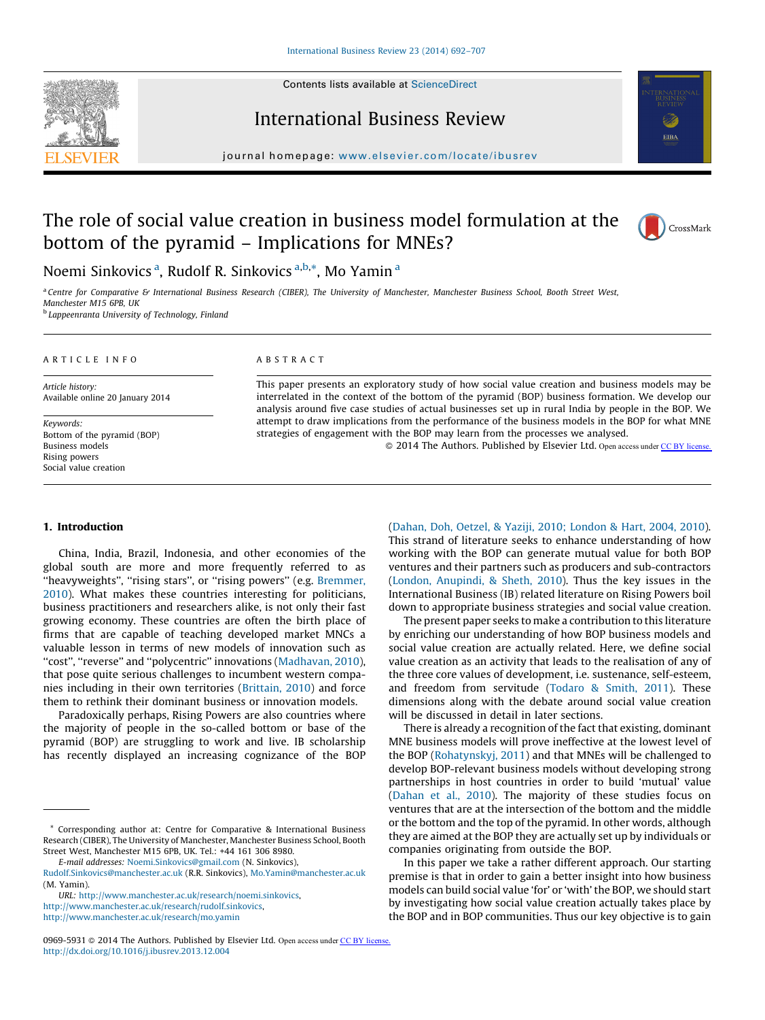Contents lists available at [ScienceDirect](http://www.sciencedirect.com/science/journal/09695931)





International Business Review

journal homepage: [www.elsevier.com/locate/ibus](http://dx.doi.org/www.elsevier.com/locate/ibusrev)rev

# The role of social value creation in business model formulation at the bottom of the pyramid – Implications for MNEs?



Noemi Sinkovics<sup>a</sup>, Rudolf R. Sinkovics<sup>a,b,\*</sup>, Mo Yamin<sup>a</sup>

<sup>a</sup> Centre for Comparative & International Business Research (CIBER), The University of Manchester, Manchester Business School, Booth Street West, Manchester M15 6PB, UK **b** Lappeenranta University of Technology, Finland

#### A R T I C L E I N F O

Article history: Available online 20 January 2014

Keywords: Bottom of the pyramid (BOP) Business models Rising powers Social value creation

# A B S T R A C T

This paper presents an exploratory study of how social value creation and business models may be interrelated in the context of the bottom of the pyramid (BOP) business formation. We develop our analysis around five case studies of actual businesses set up in rural India by people in the BOP. We attempt to draw implications from the performance of the business models in the BOP for what MNE strategies of engagement with the BOP may learn from the processes we analysed.

© 2014 The Authors. Published by Elsevier Ltd. Open access under [CC BY license.](http://creativecommons.org/licenses/by/3.0/)

# 1. Introduction

China, India, Brazil, Indonesia, and other economies of the global south are more and more frequently referred to as ''heavyweights'', ''rising stars'', or ''rising powers'' (e.g. [Bremmer,](#page-14-0) [2010\)](#page-14-0). What makes these countries interesting for politicians, business practitioners and researchers alike, is not only their fast growing economy. These countries are often the birth place of firms that are capable of teaching developed market MNCs a valuable lesson in terms of new models of innovation such as "cost", "reverse" and "polycentric" innovations ([Madhavan,](#page-14-0) 2010), that pose quite serious challenges to incumbent western companies including in their own territories ([Brittain,](#page-14-0) 2010) and force them to rethink their dominant business or innovation models.

Paradoxically perhaps, Rising Powers are also countries where the majority of people in the so-called bottom or base of the pyramid (BOP) are struggling to work and live. IB scholarship has recently displayed an increasing cognizance of the BOP

E-mail addresses: [Noemi.Sinkovics@gmail.com](mailto:Noemi.Sinkovics@gmail.com) (N. Sinkovics),

URL: [http://www.manchester.ac.uk/research/noemi.sinkovics,](http://www.manchester.ac.uk/research/noemi.sinkovics) <http://www.manchester.ac.uk/research/rudolf.sinkovics>, <http://www.manchester.ac.uk/research/mo.yamin>

0969-5931 @ 2014 The Authors. Published by Elsevier Ltd. Open access under [CC BY license.](http://creativecommons.org/licenses/by/3.0/) <http://dx.doi.org/10.1016/j.ibusrev.2013.12.004>

(Dahan, Doh, Oetzel, & Yaziji, 2010; [London](#page-14-0) & Hart, 2004, 2010). This strand of literature seeks to enhance understanding of how working with the BOP can generate mutual value for both BOP ventures and their partners such as producers and sub-contractors (London, [Anupindi,](#page-14-0) & Sheth, 2010). Thus the key issues in the International Business (IB) related literature on Rising Powers boil down to appropriate business strategies and social value creation.

The present paper seeks to make a contribution to this literature by enriching our understanding of how BOP business models and social value creation are actually related. Here, we define social value creation as an activity that leads to the realisation of any of the three core values of development, i.e. sustenance, self-esteem, and freedom from servitude [\(Todaro](#page-14-0) & Smith, 2011). These dimensions along with the debate around social value creation will be discussed in detail in later sections.

There is already a recognition of the fact that existing, dominant MNE business models will prove ineffective at the lowest level of the BOP ([Rohatynskyj,](#page-14-0) 2011) and that MNEs will be challenged to develop BOP-relevant business models without developing strong partnerships in host countries in order to build 'mutual' value ([Dahan](#page-14-0) et al., 2010). The majority of these studies focus on ventures that are at the intersection of the bottom and the middle or the bottom and the top of the pyramid. In other words, although they are aimed at the BOP they are actually set up by individuals or companies originating from outside the BOP.

In this paper we take a rather different approach. Our starting premise is that in order to gain a better insight into how business models can build social value 'for' or 'with' the BOP, we should start by investigating how social value creation actually takes place by the BOP and in BOP communities. Thus our key objective is to gain

<sup>\*</sup> Corresponding author at: Centre for Comparative & International Business Research (CIBER), The University of Manchester, Manchester Business School, Booth Street West, Manchester M15 6PB, UK. Tel.: +44 161 306 8980.

[Rudolf.Sinkovics@manchester.ac.uk](mailto:Rudolf.Sinkovics@manchester.ac.uk) (R.R. Sinkovics), [Mo.Yamin@manchester.ac.uk](mailto:Mo.Yamin@manchester.ac.uk) (M. Yamin).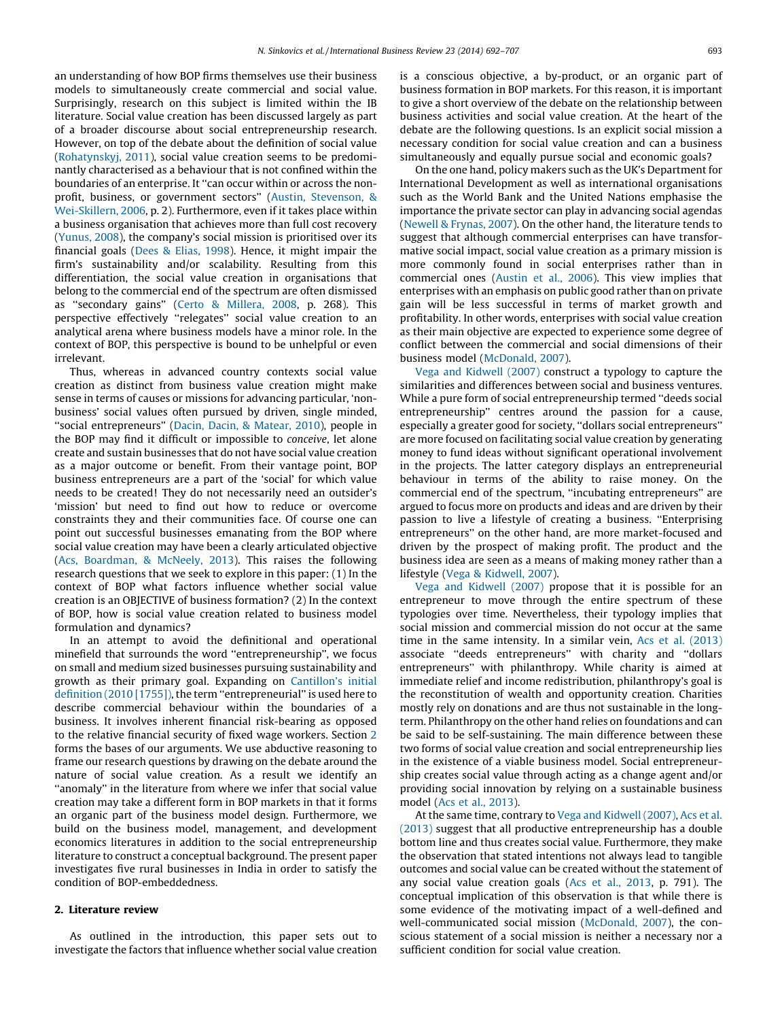<span id="page-1-0"></span>an understanding of how BOP firms themselves use their business models to simultaneously create commercial and social value. Surprisingly, research on this subject is limited within the IB literature. Social value creation has been discussed largely as part of a broader discourse about social entrepreneurship research. However, on top of the debate about the definition of social value ([Rohatynskyj,](#page-14-0) 2011), social value creation seems to be predominantly characterised as a behaviour that is not confined within the boundaries of an enterprise. It ''can occur within or across the nonprofit, business, or government sectors'' (Austin, [Stevenson,](#page-14-0) & [Wei-Skillern,](#page-14-0) 2006, p. 2). Furthermore, even if it takes place within a business organisation that achieves more than full cost recovery ([Yunus,](#page-15-0) 2008), the company's social mission is prioritised over its financial goals (Dees & [Elias,](#page-14-0) 1998). Hence, it might impair the firm's sustainability and/or scalability. Resulting from this differentiation, the social value creation in organisations that belong to the commercial end of the spectrum are often dismissed as ''secondary gains'' (Certo & [Millera,](#page-14-0) 2008, p. 268). This perspective effectively ''relegates'' social value creation to an analytical arena where business models have a minor role. In the context of BOP, this perspective is bound to be unhelpful or even irrelevant.

Thus, whereas in advanced country contexts social value creation as distinct from business value creation might make sense in terms of causes or missions for advancing particular, 'nonbusiness' social values often pursued by driven, single minded, ''social entrepreneurs'' (Dacin, Dacin, & [Matear,](#page-14-0) 2010), people in the BOP may find it difficult or impossible to conceive, let alone create and sustain businesses that do not have social value creation as a major outcome or benefit. From their vantage point, BOP business entrepreneurs are a part of the 'social' for which value needs to be created! They do not necessarily need an outsider's 'mission' but need to find out how to reduce or overcome constraints they and their communities face. Of course one can point out successful businesses emanating from the BOP where social value creation may have been a clearly articulated objective (Acs, [Boardman,](#page-14-0) & McNeely, 2013). This raises the following research questions that we seek to explore in this paper: (1) In the context of BOP what factors influence whether social value creation is an OBJECTIVE of business formation? (2) In the context of BOP, how is social value creation related to business model formulation and dynamics?

In an attempt to avoid the definitional and operational minefield that surrounds the word ''entrepreneurship'', we focus on small and medium sized businesses pursuing sustainability and growth as their primary goal. Expanding on [Cantillon's](#page-14-0) initial [definition](#page-14-0) (2010 [1755]), the term ''entrepreneurial'' is used here to describe commercial behaviour within the boundaries of a business. It involves inherent financial risk-bearing as opposed to the relative financial security of fixed wage workers. Section 2 forms the bases of our arguments. We use abductive reasoning to frame our research questions by drawing on the debate around the nature of social value creation. As a result we identify an ''anomaly'' in the literature from where we infer that social value creation may take a different form in BOP markets in that it forms an organic part of the business model design. Furthermore, we build on the business model, management, and development economics literatures in addition to the social entrepreneurship literature to construct a conceptual background. The present paper investigates five rural businesses in India in order to satisfy the condition of BOP-embeddedness.

# 2. Literature review

As outlined in the introduction, this paper sets out to investigate the factors that influence whether social value creation is a conscious objective, a by-product, or an organic part of business formation in BOP markets. For this reason, it is important to give a short overview of the debate on the relationship between business activities and social value creation. At the heart of the debate are the following questions. Is an explicit social mission a necessary condition for social value creation and can a business simultaneously and equally pursue social and economic goals?

On the one hand, policy makers such as the UK's Department for International Development as well as international organisations such as the World Bank and the United Nations emphasise the importance the private sector can play in advancing social agendas (Newell & [Frynas,](#page-14-0) 2007). On the other hand, the literature tends to suggest that although commercial enterprises can have transformative social impact, social value creation as a primary mission is more commonly found in social enterprises rather than in commercial ones [\(Austin](#page-14-0) et al., 2006). This view implies that enterprises with an emphasis on public good rather than on private gain will be less successful in terms of market growth and profitability. In other words, enterprises with social value creation as their main objective are expected to experience some degree of conflict between the commercial and social dimensions of their business model ([McDonald,](#page-14-0) 2007).

Vega and [Kidwell](#page-14-0) (2007) construct a typology to capture the similarities and differences between social and business ventures. While a pure form of social entrepreneurship termed ''deeds social entrepreneurship'' centres around the passion for a cause, especially a greater good for society, ''dollars social entrepreneurs'' are more focused on facilitating social value creation by generating money to fund ideas without significant operational involvement in the projects. The latter category displays an entrepreneurial behaviour in terms of the ability to raise money. On the commercial end of the spectrum, ''incubating entrepreneurs'' are argued to focus more on products and ideas and are driven by their passion to live a lifestyle of creating a business. ''Enterprising entrepreneurs'' on the other hand, are more market-focused and driven by the prospect of making profit. The product and the business idea are seen as a means of making money rather than a lifestyle (Vega & [Kidwell,](#page-14-0) 2007).

Vega and [Kidwell](#page-14-0) (2007) propose that it is possible for an entrepreneur to move through the entire spectrum of these typologies over time. Nevertheless, their typology implies that social mission and commercial mission do not occur at the same time in the same intensity. In a similar vein, Acs et al. [\(2013\)](#page-14-0) associate ''deeds entrepreneurs'' with charity and ''dollars entrepreneurs'' with philanthropy. While charity is aimed at immediate relief and income redistribution, philanthropy's goal is the reconstitution of wealth and opportunity creation. Charities mostly rely on donations and are thus not sustainable in the longterm. Philanthropy on the other hand relies on foundations and can be said to be self-sustaining. The main difference between these two forms of social value creation and social entrepreneurship lies in the existence of a viable business model. Social entrepreneurship creates social value through acting as a change agent and/or providing social innovation by relying on a sustainable business model (Acs et al., [2013](#page-14-0)).

At the same time, contrary to Vega and [Kidwell](#page-14-0) (2007), [Acs](#page-14-0) et al. [\(2013\)](#page-14-0) suggest that all productive entrepreneurship has a double bottom line and thus creates social value. Furthermore, they make the observation that stated intentions not always lead to tangible outcomes and social value can be created without the statement of any social value creation goals (Acs et al., [2013](#page-14-0), p. 791). The conceptual implication of this observation is that while there is some evidence of the motivating impact of a well-defined and well-communicated social mission [\(McDonald,](#page-14-0) 2007), the conscious statement of a social mission is neither a necessary nor a sufficient condition for social value creation.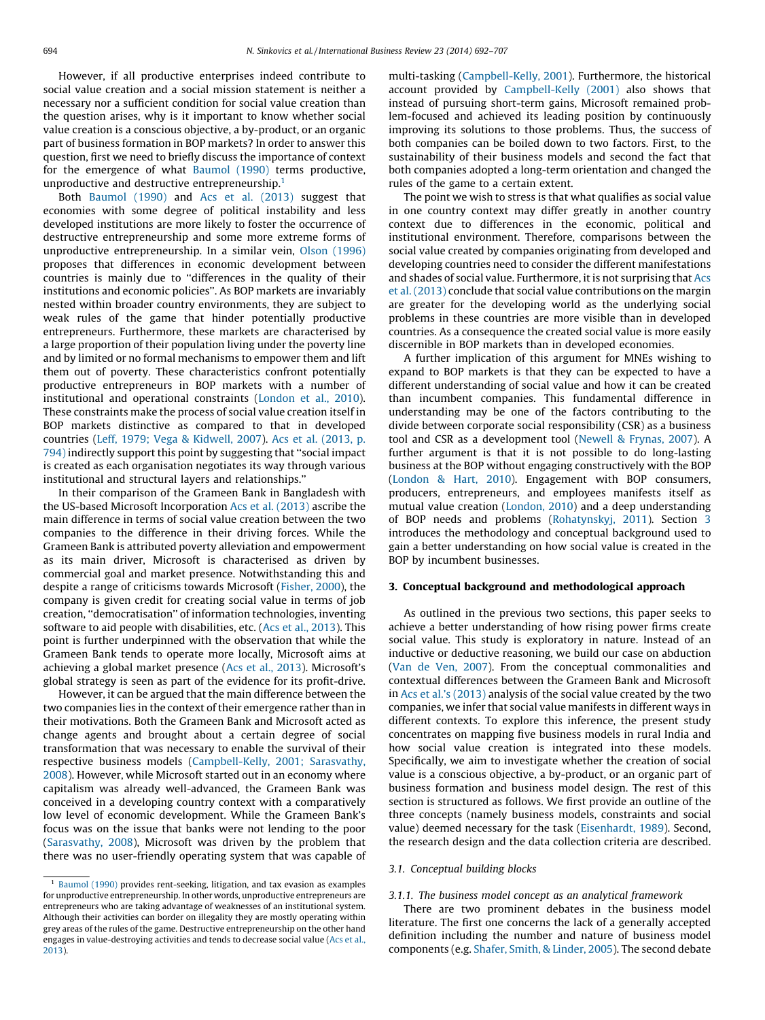However, if all productive enterprises indeed contribute to social value creation and a social mission statement is neither a necessary nor a sufficient condition for social value creation than the question arises, why is it important to know whether social value creation is a conscious objective, a by-product, or an organic part of business formation in BOP markets? In order to answer this question, first we need to briefly discuss the importance of context for the emergence of what [Baumol](#page-14-0) (1990) terms productive, unproductive and destructive entrepreneurship.<sup>1</sup>

Both [Baumol](#page-14-0) (1990) and Acs et al. [\(2013\)](#page-14-0) suggest that economies with some degree of political instability and less developed institutions are more likely to foster the occurrence of destructive entrepreneurship and some more extreme forms of unproductive entrepreneurship. In a similar vein, Olson [\(1996\)](#page-14-0) proposes that differences in economic development between countries is mainly due to ''differences in the quality of their institutions and economic policies''. As BOP markets are invariably nested within broader country environments, they are subject to weak rules of the game that hinder potentially productive entrepreneurs. Furthermore, these markets are characterised by a large proportion of their population living under the poverty line and by limited or no formal mechanisms to empower them and lift them out of poverty. These characteristics confront potentially productive entrepreneurs in BOP markets with a number of institutional and operational constraints [\(London](#page-14-0) et al., 2010). These constraints make the process of social value creation itself in BOP markets distinctive as compared to that in developed countries (Leff, 1979; Vega & [Kidwell,](#page-14-0) 2007). Acs et al. [\(2013,](#page-14-0) p. [794\)](#page-14-0) indirectly support this point by suggesting that ''social impact is created as each organisation negotiates its way through various institutional and structural layers and relationships.''

In their comparison of the Grameen Bank in Bangladesh with the US-based Microsoft Incorporation Acs et al. [\(2013\)](#page-14-0) ascribe the main difference in terms of social value creation between the two companies to the difference in their driving forces. While the Grameen Bank is attributed poverty alleviation and empowerment as its main driver, Microsoft is characterised as driven by commercial goal and market presence. Notwithstanding this and despite a range of criticisms towards Microsoft ([Fisher,](#page-14-0) 2000), the company is given credit for creating social value in terms of job creation, ''democratisation'' of information technologies, inventing software to aid people with disabilities, etc. (Acs et al., [2013\)](#page-14-0). This point is further underpinned with the observation that while the Grameen Bank tends to operate more locally, Microsoft aims at achieving a global market presence (Acs et al., [2013\)](#page-14-0). Microsoft's global strategy is seen as part of the evidence for its profit-drive.

However, it can be argued that the main difference between the two companies lies in the context of their emergence rather than in their motivations. Both the Grameen Bank and Microsoft acted as change agents and brought about a certain degree of social transformation that was necessary to enable the survival of their respective business models ([Campbell-Kelly,](#page-14-0) 2001; Sarasvathy, [2008\)](#page-14-0). However, while Microsoft started out in an economy where capitalism was already well-advanced, the Grameen Bank was conceived in a developing country context with a comparatively low level of economic development. While the Grameen Bank's focus was on the issue that banks were not lending to the poor ([Sarasvathy,](#page-14-0) 2008), Microsoft was driven by the problem that there was no user-friendly operating system that was capable of multi-tasking [\(Campbell-Kelly,](#page-14-0) 2001). Furthermore, the historical account provided by [Campbell-Kelly](#page-14-0) (2001) also shows that instead of pursuing short-term gains, Microsoft remained problem-focused and achieved its leading position by continuously improving its solutions to those problems. Thus, the success of both companies can be boiled down to two factors. First, to the sustainability of their business models and second the fact that both companies adopted a long-term orientation and changed the rules of the game to a certain extent.

The point we wish to stress is that what qualifies as social value in one country context may differ greatly in another country context due to differences in the economic, political and institutional environment. Therefore, comparisons between the social value created by companies originating from developed and developing countries need to consider the different manifestations and shades of social value. Furthermore, it is not surprising that [Acs](#page-14-0) et al. [\(2013\)](#page-14-0) conclude that social value contributions on the margin are greater for the developing world as the underlying social problems in these countries are more visible than in developed countries. As a consequence the created social value is more easily discernible in BOP markets than in developed economies.

A further implication of this argument for MNEs wishing to expand to BOP markets is that they can be expected to have a different understanding of social value and how it can be created than incumbent companies. This fundamental difference in understanding may be one of the factors contributing to the divide between corporate social responsibility (CSR) as a business tool and CSR as a development tool (Newell & [Frynas,](#page-14-0) 2007). A further argument is that it is not possible to do long-lasting business at the BOP without engaging constructively with the BOP ([London](#page-14-0) & Hart, 2010). Engagement with BOP consumers, producers, entrepreneurs, and employees manifests itself as mutual value creation [\(London,](#page-14-0) 2010) and a deep understanding of BOP needs and problems [\(Rohatynskyj,](#page-14-0) 2011). Section 3 introduces the methodology and conceptual background used to gain a better understanding on how social value is created in the BOP by incumbent businesses.

#### 3. Conceptual background and methodological approach

As outlined in the previous two sections, this paper seeks to achieve a better understanding of how rising power firms create social value. This study is exploratory in nature. Instead of an inductive or deductive reasoning, we build our case on abduction (Van de Ven, [2007](#page-14-0)). From the conceptual commonalities and contextual differences between the Grameen Bank and Microsoft in Acs et al.'s [\(2013\)](#page-14-0) analysis of the social value created by the two companies, we infer that social value manifests in different ways in different contexts. To explore this inference, the present study concentrates on mapping five business models in rural India and how social value creation is integrated into these models. Specifically, we aim to investigate whether the creation of social value is a conscious objective, a by-product, or an organic part of business formation and business model design. The rest of this section is structured as follows. We first provide an outline of the three concepts (namely business models, constraints and social value) deemed necessary for the task [\(Eisenhardt,](#page-14-0) 1989). Second, the research design and the data collection criteria are described.

# 3.1. Conceptual building blocks

#### 3.1.1. The business model concept as an analytical framework

There are two prominent debates in the business model literature. The first one concerns the lack of a generally accepted definition including the number and nature of business model components (e.g. Shafer, Smith, & [Linder,](#page-14-0) 2005). The second debate

<sup>&</sup>lt;sup>1</sup> [Baumol](#page-14-0) (1990) provides rent-seeking, litigation, and tax evasion as examples for unproductive entrepreneurship. In other words, unproductive entrepreneurs are entrepreneurs who are taking advantage of weaknesses of an institutional system. Although their activities can border on illegality they are mostly operating within grey areas of the rules of the game. Destructive entrepreneurship on the other hand engages in value-destroying activities and tends to decrease social value ([Acs](#page-14-0) et al., [2013](#page-14-0)).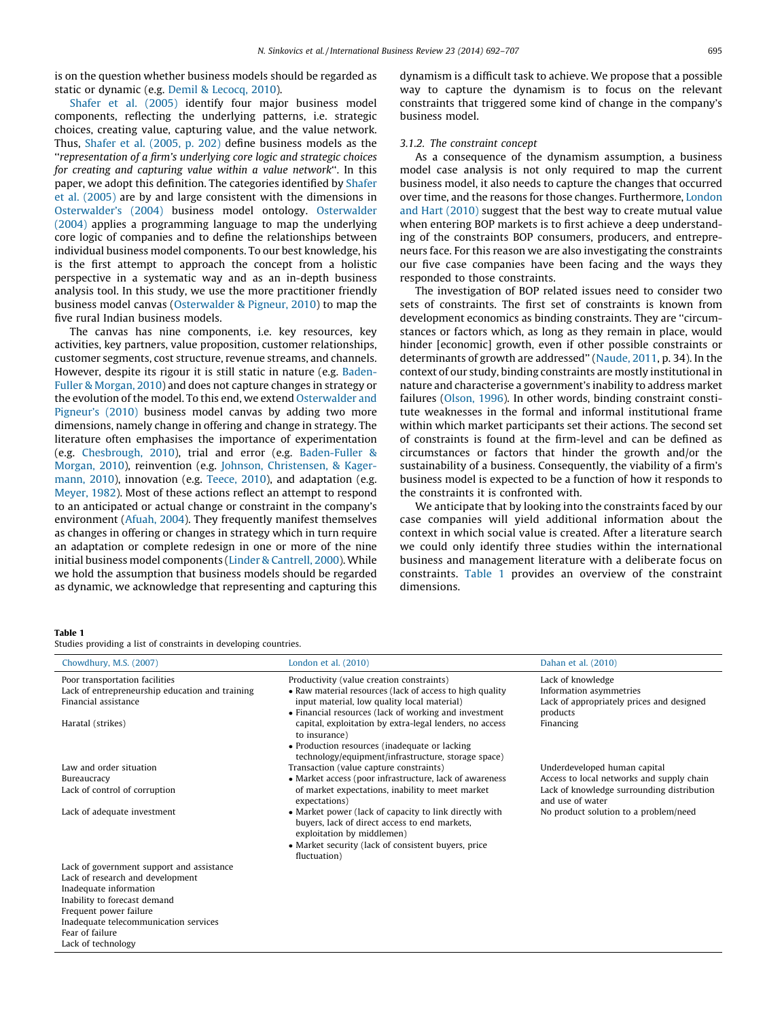<span id="page-3-0"></span>is on the question whether business models should be regarded as static or dynamic (e.g. Demil & [Lecocq,](#page-14-0) 2010).

Shafer et al. [\(2005\)](#page-14-0) identify four major business model components, reflecting the underlying patterns, i.e. strategic choices, creating value, capturing value, and the value network. Thus, Shafer et al. [\(2005,](#page-14-0) p. 202) define business models as the ''representation of a firm's underlying core logic and strategic choices for creating and capturing value within a value network''. In this paper, we adopt this definition. The categories identified by [Shafer](#page-14-0) et al. [\(2005\)](#page-14-0) are by and large consistent with the dimensions in [Osterwalder's](#page-14-0) (2004) business model ontology. [Osterwalder](#page-14-0) [\(2004\)](#page-14-0) applies a programming language to map the underlying core logic of companies and to define the relationships between individual business model components. To our best knowledge, his is the first attempt to approach the concept from a holistic perspective in a systematic way and as an in-depth business analysis tool. In this study, we use the more practitioner friendly business model canvas ([Osterwalder](#page-14-0) & Pigneur, 2010) to map the five rural Indian business models.

The canvas has nine components, i.e. key resources, key activities, key partners, value proposition, customer relationships, customer segments, cost structure, revenue streams, and channels. However, despite its rigour it is still static in nature (e.g. [Baden-](#page-14-0)Fuller & [Morgan,](#page-14-0) 2010) and does not capture changes in strategy or the evolution of the model. To this end, we extend [Osterwalder](#page-14-0) and [Pigneur's](#page-14-0) (2010) business model canvas by adding two more dimensions, namely change in offering and change in strategy. The literature often emphasises the importance of experimentation (e.g. [Chesbrough,](#page-14-0) 2010), trial and error (e.g. [Baden-Fuller](#page-14-0) & [Morgan,](#page-14-0) 2010), reinvention (e.g. Johnson, [Christensen,](#page-14-0) & Kager[mann,](#page-14-0) 2010), innovation (e.g. [Teece,](#page-14-0) 2010), and adaptation (e.g. [Meyer,](#page-14-0) 1982). Most of these actions reflect an attempt to respond to an anticipated or actual change or constraint in the company's environment ([Afuah,](#page-14-0) 2004). They frequently manifest themselves as changes in offering or changes in strategy which in turn require an adaptation or complete redesign in one or more of the nine initial business model components (Linder & [Cantrell,](#page-14-0) 2000). While we hold the assumption that business models should be regarded as dynamic, we acknowledge that representing and capturing this dynamism is a difficult task to achieve. We propose that a possible way to capture the dynamism is to focus on the relevant constraints that triggered some kind of change in the company's business model.

# 3.1.2. The constraint concept

As a consequence of the dynamism assumption, a business model case analysis is not only required to map the current business model, it also needs to capture the changes that occurred over time, and the reasons for those changes. Furthermore, [London](#page-14-0) and Hart [\(2010\)](#page-14-0) suggest that the best way to create mutual value when entering BOP markets is to first achieve a deep understanding of the constraints BOP consumers, producers, and entrepreneurs face. For this reason we are also investigating the constraints our five case companies have been facing and the ways they responded to those constraints.

The investigation of BOP related issues need to consider two sets of constraints. The first set of constraints is known from development economics as binding constraints. They are ''circumstances or factors which, as long as they remain in place, would hinder [economic] growth, even if other possible constraints or determinants of growth are addressed'' [\(Naude,](#page-14-0) 2011, p. 34). In the context of our study, binding constraints are mostly institutional in nature and characterise a government's inability to address market failures [\(Olson,](#page-14-0) 1996). In other words, binding constraint constitute weaknesses in the formal and informal institutional frame within which market participants set their actions. The second set of constraints is found at the firm-level and can be defined as circumstances or factors that hinder the growth and/or the sustainability of a business. Consequently, the viability of a firm's business model is expected to be a function of how it responds to the constraints it is confronted with.

We anticipate that by looking into the constraints faced by our case companies will yield additional information about the context in which social value is created. After a literature search we could only identify three studies within the international business and management literature with a deliberate focus on constraints. Table 1 provides an overview of the constraint dimensions.

# Table 1

Studies providing a list of constraints in developing countries.

| Chowdhury, M.S. (2007)                                                                                    | London et al. $(2010)$                                                                                                                                                                                        | Dahan et al. (2010)                                                                                   |
|-----------------------------------------------------------------------------------------------------------|---------------------------------------------------------------------------------------------------------------------------------------------------------------------------------------------------------------|-------------------------------------------------------------------------------------------------------|
| Poor transportation facilities<br>Lack of entrepreneurship education and training<br>Financial assistance | Productivity (value creation constraints)<br>• Raw material resources (lack of access to high quality<br>input material, low quality local material)<br>• Financial resources (lack of working and investment | Lack of knowledge<br>Information asymmetries<br>Lack of appropriately prices and designed<br>products |
| Haratal (strikes)                                                                                         | capital, exploitation by extra-legal lenders, no access<br>to insurance)<br>• Production resources (inadequate or lacking<br>technology/equipment/infrastructure, storage space)                              | Financing                                                                                             |
| Law and order situation                                                                                   | Transaction (value capture constraints)                                                                                                                                                                       | Underdeveloped human capital                                                                          |
| Bureaucracy                                                                                               | • Market access (poor infrastructure, lack of awareness                                                                                                                                                       | Access to local networks and supply chain                                                             |
| Lack of control of corruption                                                                             | of market expectations, inability to meet market<br>expectations)                                                                                                                                             | Lack of knowledge surrounding distribution<br>and use of water                                        |
| Lack of adequate investment                                                                               | • Market power (lack of capacity to link directly with<br>buyers, lack of direct access to end markets,<br>exploitation by middlemen)<br>• Market security (lack of consistent buyers, price<br>fluctuation)  | No product solution to a problem/need                                                                 |
| Lack of government support and assistance<br>Lack of research and development<br>Inadequate information   |                                                                                                                                                                                                               |                                                                                                       |
| Inability to forecast demand                                                                              |                                                                                                                                                                                                               |                                                                                                       |
| Frequent power failure                                                                                    |                                                                                                                                                                                                               |                                                                                                       |
| Inadequate telecommunication services                                                                     |                                                                                                                                                                                                               |                                                                                                       |
| Fear of failure                                                                                           |                                                                                                                                                                                                               |                                                                                                       |
| Lack of technology                                                                                        |                                                                                                                                                                                                               |                                                                                                       |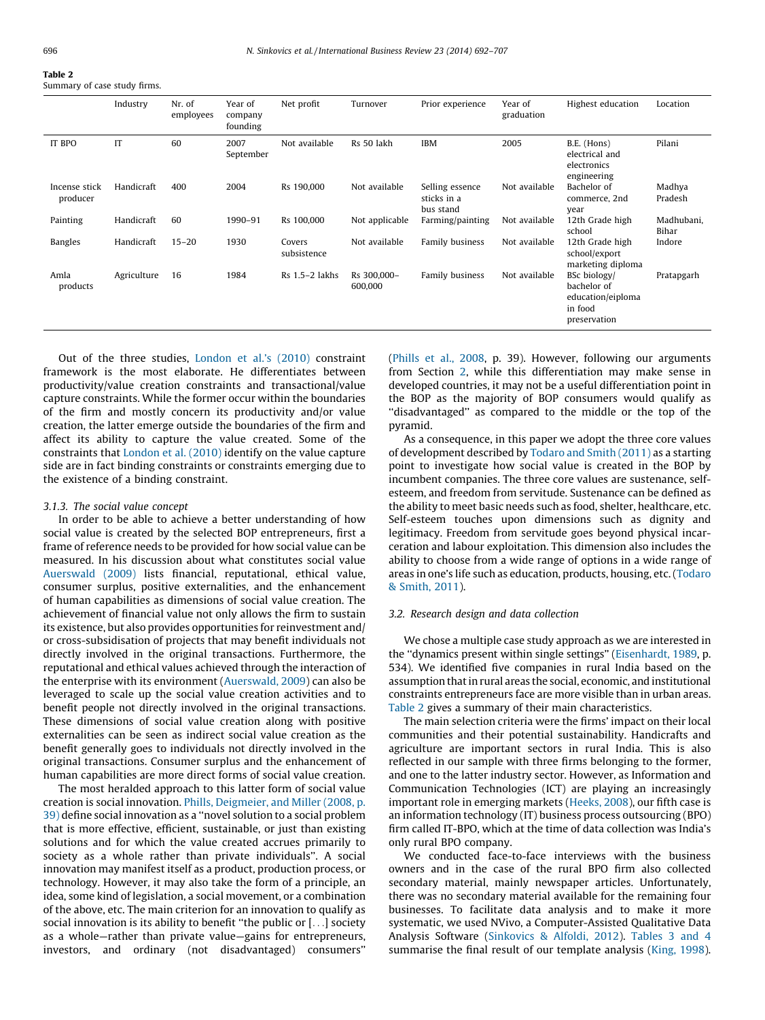# <span id="page-4-0"></span>Table 2

| Summary of case study firms. |  |  |  |  |
|------------------------------|--|--|--|--|
|------------------------------|--|--|--|--|

|                           | Industry    | Nr. of<br>employees | Year of<br>company<br>founding | Net profit            | Turnover               | Prior experience                            | Year of<br>graduation | Highest education                                                           | Location            |
|---------------------------|-------------|---------------------|--------------------------------|-----------------------|------------------------|---------------------------------------------|-----------------------|-----------------------------------------------------------------------------|---------------------|
| <b>IT BPO</b>             | IT          | 60                  | 2007<br>September              | Not available         | Rs 50 lakh             | <b>IBM</b>                                  | 2005                  | B.E. (Hons)<br>electrical and<br>electronics<br>engineering                 | Pilani              |
| Incense stick<br>producer | Handicraft  | 400                 | 2004                           | Rs 190,000            | Not available          | Selling essence<br>sticks in a<br>bus stand | Not available         | Bachelor of<br>commerce, 2nd<br>year                                        | Madhya<br>Pradesh   |
| Painting                  | Handicraft  | 60                  | 1990-91                        | Rs 100,000            | Not applicable         | Farming/painting                            | Not available         | 12th Grade high<br>school                                                   | Madhubani.<br>Bihar |
| <b>Bangles</b>            | Handicraft  | $15 - 20$           | 1930                           | Covers<br>subsistence | Not available          | Family business                             | Not available         | 12th Grade high<br>school/export<br>marketing diploma                       | Indore              |
| Amla<br>products          | Agriculture | 16                  | 1984                           | Rs 1.5-2 lakhs        | Rs 300,000-<br>600,000 | Family business                             | Not available         | BSc biology/<br>bachelor of<br>education/eiploma<br>in food<br>preservation | Pratapgarh          |

Out of the three studies, [London](#page-14-0) et al.'s (2010) constraint framework is the most elaborate. He differentiates between productivity/value creation constraints and transactional/value capture constraints. While the former occur within the boundaries of the firm and mostly concern its productivity and/or value creation, the latter emerge outside the boundaries of the firm and affect its ability to capture the value created. Some of the constraints that [London](#page-14-0) et al. (2010) identify on the value capture side are in fact binding constraints or constraints emerging due to the existence of a binding constraint.

### 3.1.3. The social value concept

In order to be able to achieve a better understanding of how social value is created by the selected BOP entrepreneurs, first a frame of reference needs to be provided for how social value can be measured. In his discussion about what constitutes social value [Auerswald](#page-14-0) (2009) lists financial, reputational, ethical value, consumer surplus, positive externalities, and the enhancement of human capabilities as dimensions of social value creation. The achievement of financial value not only allows the firm to sustain its existence, but also provides opportunities for reinvestment and/ or cross-subsidisation of projects that may benefit individuals not directly involved in the original transactions. Furthermore, the reputational and ethical values achieved through the interaction of the enterprise with its environment ([Auerswald,](#page-14-0) 2009) can also be leveraged to scale up the social value creation activities and to benefit people not directly involved in the original transactions. These dimensions of social value creation along with positive externalities can be seen as indirect social value creation as the benefit generally goes to individuals not directly involved in the original transactions. Consumer surplus and the enhancement of human capabilities are more direct forms of social value creation.

The most heralded approach to this latter form of social value creation is social innovation. Phills, [Deigmeier,](#page-14-0) and Miller (2008, p. [39\)](#page-14-0) define social innovation as a ''novel solution to a social problem that is more effective, efficient, sustainable, or just than existing solutions and for which the value created accrues primarily to society as a whole rather than private individuals''. A social innovation may manifest itself as a product, production process, or technology. However, it may also take the form of a principle, an idea, some kind of legislation, a social movement, or a combination of the above, etc. The main criterion for an innovation to qualify as social innovation is its ability to benefit "the public or [...] society as a whole—rather than private value—gains for entrepreneurs, investors, and ordinary (not disadvantaged) consumers'' ([Phills](#page-14-0) et al., 2008, p. 39). However, following our arguments from Section [2](#page-1-0), while this differentiation may make sense in developed countries, it may not be a useful differentiation point in the BOP as the majority of BOP consumers would qualify as ''disadvantaged'' as compared to the middle or the top of the pyramid.

As a consequence, in this paper we adopt the three core values of development described by [Todaro](#page-14-0) and Smith (2011) as a starting point to investigate how social value is created in the BOP by incumbent companies. The three core values are sustenance, selfesteem, and freedom from servitude. Sustenance can be defined as the ability to meet basic needs such as food, shelter, healthcare, etc. Self-esteem touches upon dimensions such as dignity and legitimacy. Freedom from servitude goes beyond physical incarceration and labour exploitation. This dimension also includes the ability to choose from a wide range of options in a wide range of areas in one's life such as education, products, housing, etc.[\(Todaro](#page-14-0) & [Smith,](#page-14-0) 2011).

# 3.2. Research design and data collection

We chose a multiple case study approach as we are interested in the ''dynamics present within single settings'' ([Eisenhardt,](#page-14-0) 1989, p. 534). We identified five companies in rural India based on the assumption that in rural areas the social, economic, and institutional constraints entrepreneurs face are more visible than in urban areas. Table 2 gives a summary of their main characteristics.

The main selection criteria were the firms' impact on their local communities and their potential sustainability. Handicrafts and agriculture are important sectors in rural India. This is also reflected in our sample with three firms belonging to the former, and one to the latter industry sector. However, as Information and Communication Technologies (ICT) are playing an increasingly important role in emerging markets ([Heeks,](#page-14-0) 2008), our fifth case is an information technology (IT) business process outsourcing (BPO) firm called IT-BPO, which at the time of data collection was India's only rural BPO company.

We conducted face-to-face interviews with the business owners and in the case of the rural BPO firm also collected secondary material, mainly newspaper articles. Unfortunately, there was no secondary material available for the remaining four businesses. To facilitate data analysis and to make it more systematic, we used NVivo, a Computer-Assisted Qualitative Data Analysis Software ([Sinkovics](#page-14-0) & Alfoldi, 2012). [Tables](#page-5-0) 3 and 4 summarise the final result of our template analysis [\(King,](#page-14-0) 1998).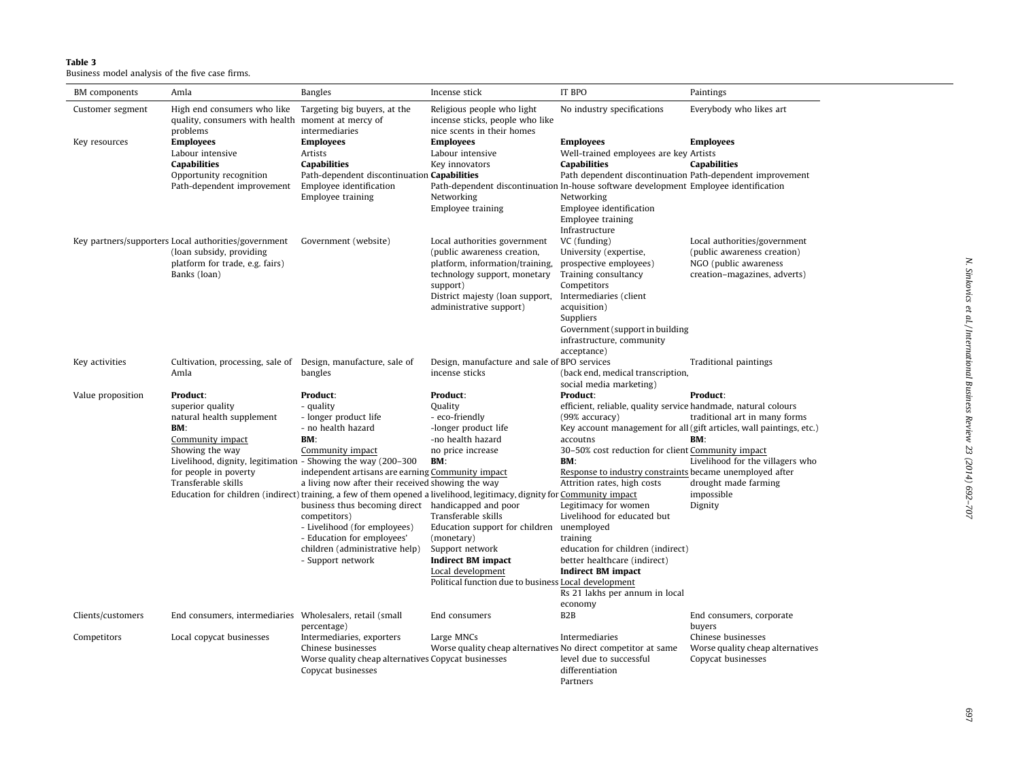### <span id="page-5-0"></span>Table 3

Business model analysis of the five case firms.

| <b>BM</b> components | Amla                                                                                                                                                                                                                    | <b>Bangles</b>                                                                                                                                                                                                                                                                                                                                                                                       | Incense stick                                                                                                                                                                                                                                                                                                                                                                                                                                 | <b>IT BPO</b>                                                                                                                                                                                                                                                                                                                                                                                                                                                                                   | Paintings                                                                                                                                                                                                     |
|----------------------|-------------------------------------------------------------------------------------------------------------------------------------------------------------------------------------------------------------------------|------------------------------------------------------------------------------------------------------------------------------------------------------------------------------------------------------------------------------------------------------------------------------------------------------------------------------------------------------------------------------------------------------|-----------------------------------------------------------------------------------------------------------------------------------------------------------------------------------------------------------------------------------------------------------------------------------------------------------------------------------------------------------------------------------------------------------------------------------------------|-------------------------------------------------------------------------------------------------------------------------------------------------------------------------------------------------------------------------------------------------------------------------------------------------------------------------------------------------------------------------------------------------------------------------------------------------------------------------------------------------|---------------------------------------------------------------------------------------------------------------------------------------------------------------------------------------------------------------|
| Customer segment     | High end consumers who like Targeting big buyers, at the<br>quality, consumers with health moment at mercy of<br>problems                                                                                               | intermediaries                                                                                                                                                                                                                                                                                                                                                                                       | Religious people who light<br>incense sticks, people who like<br>nice scents in their homes                                                                                                                                                                                                                                                                                                                                                   | No industry specifications                                                                                                                                                                                                                                                                                                                                                                                                                                                                      | Everybody who likes art                                                                                                                                                                                       |
| Key resources        | <b>Employees</b><br>Labour intensive<br><b>Capabilities</b><br>Opportunity recognition<br>Path-dependent improvement                                                                                                    | <b>Employees</b><br>Artists<br><b>Capabilities</b><br>Path-dependent discontinuation Capabilities<br>Employee identification<br>Employee training                                                                                                                                                                                                                                                    | <b>Employees</b><br>Labour intensive<br>Key innovators<br>Networking<br>Employee training                                                                                                                                                                                                                                                                                                                                                     | <b>Employees</b><br>Well-trained employees are key Artists<br><b>Capabilities</b><br>Path dependent discontinuation Path-dependent improvement<br>Path-dependent discontinuation In-house software development Employee identification<br>Networking<br>Employee identification<br>Employee training<br>Infrastructure                                                                                                                                                                          | <b>Employees</b><br><b>Capabilities</b>                                                                                                                                                                       |
|                      | Key partners/supporters Local authorities/government<br>(loan subsidy, providing<br>platform for trade, e.g. fairs)<br>Banks (loan)                                                                                     | Government (website)                                                                                                                                                                                                                                                                                                                                                                                 | Local authorities government<br>(public awareness creation,<br>platform, information/training,<br>technology support, monetary<br>support)<br>District majesty (loan support,<br>administrative support)                                                                                                                                                                                                                                      | VC (funding)<br>University (expertise,<br>prospective employees)<br>Training consultancy<br>Competitors<br>Intermediaries (client<br>acquisition)<br>Suppliers<br>Government (support in building<br>infrastructure, community<br>acceptance)                                                                                                                                                                                                                                                   | Local authorities/government<br>(public awareness creation)<br>NGO (public awareness<br>creation-magazines, adverts)                                                                                          |
| Key activities       | Cultivation, processing, sale of Design, manufacture, sale of<br>Amla                                                                                                                                                   | bangles                                                                                                                                                                                                                                                                                                                                                                                              | Design, manufacture and sale of BPO services<br>incense sticks                                                                                                                                                                                                                                                                                                                                                                                | (back end, medical transcription,<br>social media marketing)                                                                                                                                                                                                                                                                                                                                                                                                                                    | Traditional paintings                                                                                                                                                                                         |
| Value proposition    | Product:<br>superior quality<br>natural health supplement<br>BM:<br>Community impact<br>Showing the way<br>Livelihood, dignity, legitimation - Showing the way (200-300<br>for people in poverty<br>Transferable skills | Product:<br>- quality<br>- longer product life<br>- no health hazard<br>BM:<br>Community impact<br>independent artisans are earning Community impact<br>a living now after their received showing the way<br>business thus becoming direct handicapped and poor<br>competitors)<br>- Livelihood (for employees)<br>- Education for employees'<br>children (administrative help)<br>- Support network | Product:<br>Quality<br>- eco-friendly<br>-longer product life<br>-no health hazard<br>no price increase<br>BM:<br>Education for children (indirect) training, a few of them opened a livelihood, legitimacy, dignity for Community impact<br>Transferable skills<br>Education support for children<br>(monetary)<br>Support network<br><b>Indirect BM impact</b><br>Local development<br>Political function due to business Local development | Product:<br>efficient, reliable, quality service handmade, natural colours<br>(99% accuracy)<br>accoutns<br>30-50% cost reduction for client Community impact<br>BM:<br>Response to industry constraints became unemployed after<br>Attrition rates, high costs<br>Legitimacy for women<br>Livelihood for educated but<br>unemployed<br>training<br>education for children (indirect)<br>better healthcare (indirect)<br><b>Indirect BM impact</b><br>Rs 21 lakhs per annum in local<br>economy | Product:<br>traditional art in many forms<br>Key account management for all (gift articles, wall paintings, etc.)<br>BM:<br>Livelihood for the villagers who<br>drought made farming<br>impossible<br>Dignity |
| Clients/customers    | End consumers, intermediaries Wholesalers, retail (small                                                                                                                                                                | percentage)                                                                                                                                                                                                                                                                                                                                                                                          | End consumers                                                                                                                                                                                                                                                                                                                                                                                                                                 | B <sub>2</sub> B                                                                                                                                                                                                                                                                                                                                                                                                                                                                                | End consumers, corporate<br>buyers                                                                                                                                                                            |
| Competitors          | Local copycat businesses                                                                                                                                                                                                | Intermediaries, exporters<br>Chinese businesses<br>Worse quality cheap alternatives Copycat businesses<br>Copycat businesses                                                                                                                                                                                                                                                                         | Large MNCs<br>Worse quality cheap alternatives No direct competitor at same                                                                                                                                                                                                                                                                                                                                                                   | Intermediaries<br>level due to successful<br>differentiation<br>Partners                                                                                                                                                                                                                                                                                                                                                                                                                        | Chinese businesses<br>Worse quality cheap alternatives<br>Copycat businesses                                                                                                                                  |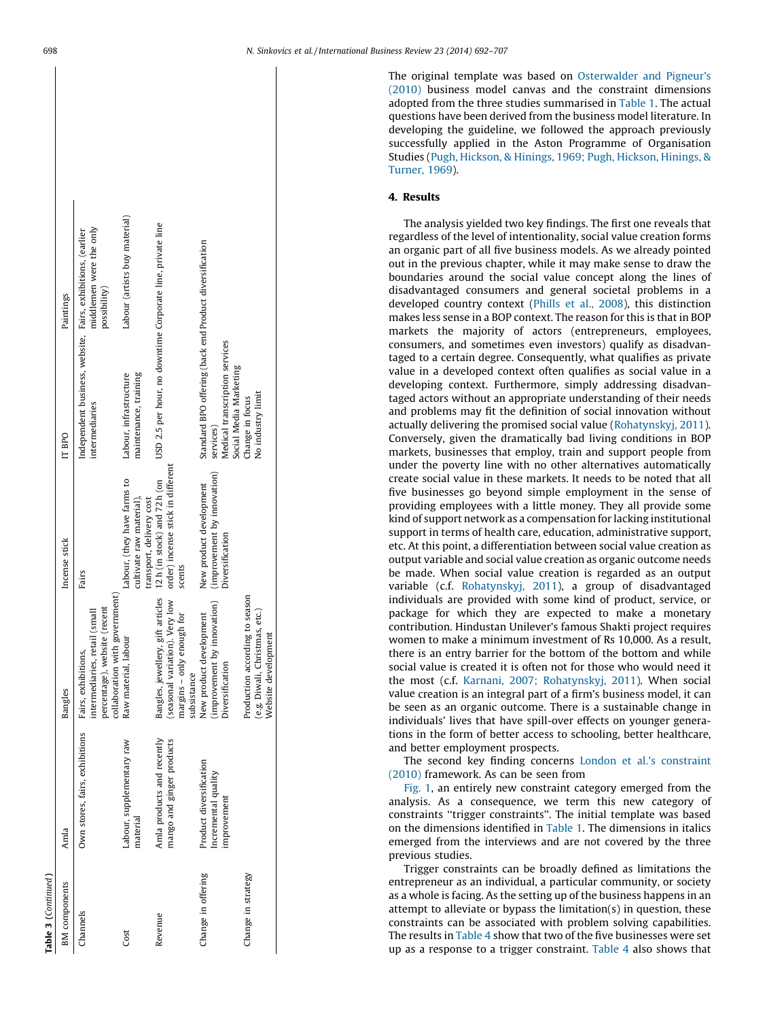| ٥ |
|---|
|   |
|   |

| able 3 (Continued)   |                                                               |                                                                                                                    |                                                                                     |                                                                                                                                  |                                         |
|----------------------|---------------------------------------------------------------|--------------------------------------------------------------------------------------------------------------------|-------------------------------------------------------------------------------------|----------------------------------------------------------------------------------------------------------------------------------|-----------------------------------------|
| <b>BM</b> components | Amla                                                          | Bangles                                                                                                            | Incense stick                                                                       | IT BPO                                                                                                                           | Paintings                               |
| Channels             | Own stores, fairs, exhibitions Fairs, exhibitions,            | collaboration with government)<br>percentage), website (recent<br>intermediaries, retail (small                    | Fairs                                                                               | Independent business, website, Fairs, exhibitions, (earlier<br>intermediaries                                                    | middlemen were the only<br>possibility) |
| Cost                 | Labour, supplementary raw<br>material                         | Raw material, labour                                                                                               | Labour, (they have farms to<br>cultivate raw material),<br>transport, delivery cost | maintenance, training<br>Labour, infrastructure                                                                                  | Labour (artists buy material)           |
| Revenue              | Amla products and recently<br>mango and ginger products       | Bangles, jewellery, gift articles<br>variation). Very low<br>margins - only enough for<br>subsistance<br>(seasonal | order) incense stick in different<br>12 h (in stock) and 72 h (on<br>scents         | USD 2.5 per hour, no downtime Corporate line, private line                                                                       |                                         |
| Change in offering   | Product diversification<br>Incremental quality<br>improvement | (improvement by innovation)<br>New product development<br><b>Diversification</b>                                   | (improvement by innovation)<br>New product development<br>Diversification           | Standard BPO offering (back end Product diversification<br>Medical transcription services<br>Social Media Marketing<br>services) |                                         |
| Change in strategy   |                                                               | Production according to season<br>(e.g. Diwali, Christmas, etc.)<br>Website development                            |                                                                                     | No industry limit<br>Change in focus                                                                                             |                                         |

The original template was based on [Osterwalder](#page-14-0) and Pigneur's [\(2010\)](#page-14-0) business model canvas and the constraint dimensions adopted from the three studies summarised in [Table](#page-3-0) 1. The actual questions have been derived from the business model literature. In developing the guideline, we followed the approach previously successfully applied in the Aston Programme of Organisation Studies (Pugh, [Hickson,](#page-14-0) & Hinings, 1969; Pugh, Hickson, Hinings, & [Turner,](#page-14-0) 1969).

# 4. Results

The analysis yielded two key findings. The first one reveals that regardless of the level of intentionality, social value creation forms an organic part of all five business models. As we already pointed out in the previous chapter, while it may make sense to draw the boundaries around the social value concept along the lines of disadvantaged consumers and general societal problems in a developed country context ([Phills](#page-14-0) et al., 2008), this distinction makes less sense in a BOP context. The reason for this is that in BOP markets the majority of actors (entrepreneurs, employees, consumers, and sometimes even investors) qualify as disadvantaged to a certain degree. Consequently, what qualifies as private value in a developed context often qualifies as social value in a developing context. Furthermore, simply addressing disadvantaged actors without an appropriate understanding of their needs and problems may fit the definition of social innovation without actually delivering the promised social value [\(Rohatynskyj,](#page-14-0) 2011). Conversely, given the dramatically bad living conditions in BOP markets, businesses that employ, train and support people from under the poverty line with no other alternatives automatically create social value in these markets. It needs to be noted that all five businesses go beyond simple employment in the sense of providing employees with a little money. They all provide some kind of support network as a compensation for lacking institutional support in terms of health care, education, administrative support, etc. At this point, a differentiation between social value creation as output variable and social value creation as organic outcome needs be made. When social value creation is regarded as an output variable (c.f. [Rohatynskyj,](#page-14-0) 2011), a group of disadvantaged individuals are provided with some kind of product, service, or package for which they are expected to make a monetary contribution. Hindustan Unilever's famous Shakti project requires women to make a minimum investment of Rs 10,000. As a result, there is an entry barrier for the bottom of the bottom and while social value is created it is often not for those who would need it the most (c.f. Karnani, 2007; [Rohatynskyj,](#page-14-0) 2011). When social value creation is an integral part of a firm's business model, it can be seen as an organic outcome. There is a sustainable change in individuals' lives that have spill-over effects on younger generations in the form of better access to schooling, better healthcare, and better employment prospects.

The second key finding concerns London et al.'s [constraint](#page-14-0) [\(2010\)](#page-14-0) framework. As can be seen from

[Fig.](#page-8-0) 1, an entirely new constraint category emerged from the analysis. As a consequence, we term this new category of constraints ''trigger constraints''. The initial template was based on the dimensions identified in [Table](#page-3-0) 1. The dimensions in italics emerged from the interviews and are not covered by the three previous studies.

Trigger constraints can be broadly defined as limitations the entrepreneur as an individual, a particular community, or society as a whole is facing. As the setting up of the business happens in an attempt to alleviate or bypass the limitation(s) in question, these constraints can be associated with problem solving capabilities. The results in [Table](#page-7-0) 4 show that two of the five businesses were set up as a response to a trigger constraint. [Table](#page-7-0) 4 also shows that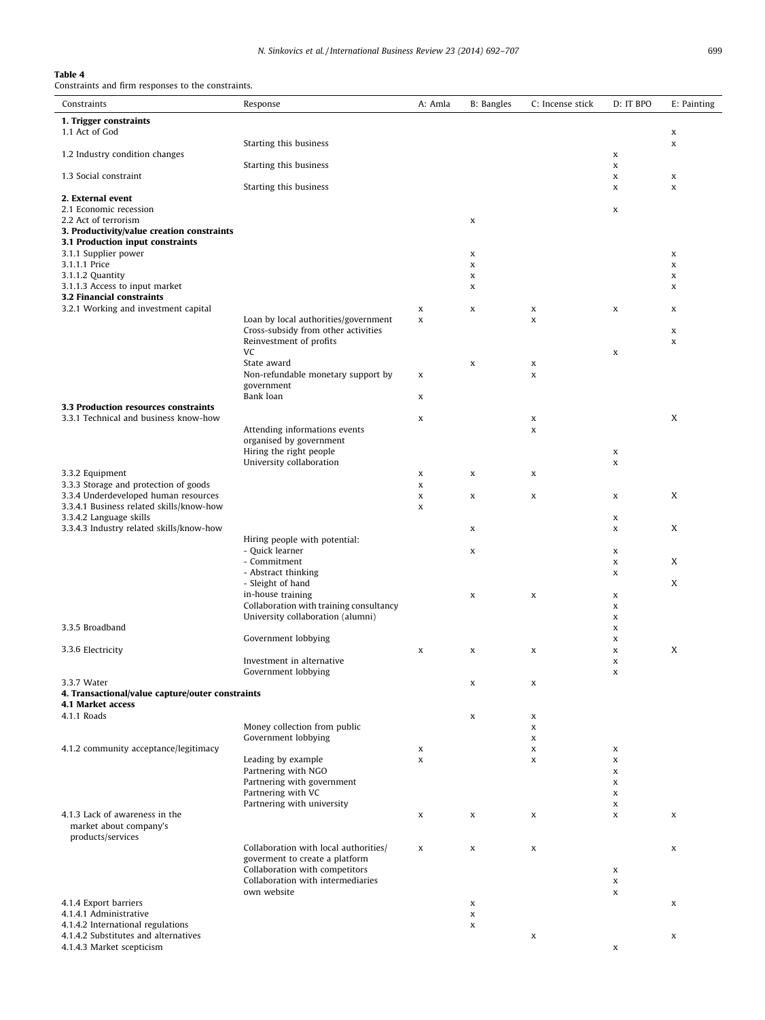# <span id="page-7-0"></span>Table 4

Constraints and firm responses to the constraints.

| Constraints                                                           | Response                                         | A: Amla     | <b>B</b> : Bangles | C: Incense stick | D: IT BPO   | E: Painting |
|-----------------------------------------------------------------------|--------------------------------------------------|-------------|--------------------|------------------|-------------|-------------|
| 1. Trigger constraints                                                |                                                  |             |                    |                  |             |             |
| 1.1 Act of God                                                        |                                                  |             |                    |                  |             | x           |
|                                                                       | Starting this business                           |             |                    |                  |             | X           |
| 1.2 Industry condition changes                                        |                                                  |             |                    |                  | X           |             |
| 1.3 Social constraint                                                 | Starting this business                           |             |                    |                  | X<br>X      | x           |
|                                                                       | Starting this business                           |             |                    |                  | x           | $\mathbf x$ |
| 2. External event                                                     |                                                  |             |                    |                  |             |             |
| 2.1 Economic recession                                                |                                                  |             |                    |                  | X           |             |
| 2.2 Act of terrorism<br>3. Productivity/value creation constraints    |                                                  |             | X                  |                  |             |             |
| 3.1 Production input constraints                                      |                                                  |             |                    |                  |             |             |
| 3.1.1 Supplier power                                                  |                                                  |             | x                  |                  |             | X           |
| 3.1.1.1 Price                                                         |                                                  |             | X                  |                  |             | X           |
| 3.1.1.2 Quantity<br>3.1.1.3 Access to input market                    |                                                  |             | X<br>X             |                  |             | x<br>x      |
| 3.2 Financial constraints                                             |                                                  |             |                    |                  |             |             |
| 3.2.1 Working and investment capital                                  |                                                  | x           | X                  | X                | X           | X           |
|                                                                       | Loan by local authorities/government             | $\mathbf x$ |                    | $\mathbf x$      |             |             |
|                                                                       | Cross-subsidy from other activities              |             |                    |                  |             | X           |
|                                                                       | Reinvestment of profits<br>VC                    |             |                    |                  | X           | X           |
|                                                                       | State award                                      |             | X                  | X                |             |             |
|                                                                       | Non-refundable monetary support by               | X           |                    | X                |             |             |
|                                                                       | government                                       |             |                    |                  |             |             |
| <b>3.3 Production resources constraints</b>                           | Bank loan                                        | X           |                    |                  |             |             |
| 3.3.1 Technical and business know-how                                 |                                                  | x           |                    | X                |             | X           |
|                                                                       | Attending informations events                    |             |                    | $\mathbf x$      |             |             |
|                                                                       | organised by government                          |             |                    |                  |             |             |
|                                                                       | Hiring the right people                          |             |                    |                  | x           |             |
| 3.3.2 Equipment                                                       | University collaboration                         | X           | X                  | X                | $\mathbf x$ |             |
| 3.3.3 Storage and protection of goods                                 |                                                  | X           |                    |                  |             |             |
| 3.3.4 Underdeveloped human resources                                  |                                                  | x           | X                  | X                | X           | X           |
| 3.3.4.1 Business related skills/know-how                              |                                                  | x           |                    |                  |             |             |
| 3.3.4.2 Language skills<br>3.3.4.3 Industry related skills/know-how   |                                                  |             | X                  |                  | X<br>x      | X           |
|                                                                       | Hiring people with potential:                    |             |                    |                  |             |             |
|                                                                       | - Quick learner                                  |             | x                  |                  | x           |             |
|                                                                       | - Commitment                                     |             |                    |                  | X           | X           |
|                                                                       | - Abstract thinking                              |             |                    |                  | x           |             |
|                                                                       | - Sleight of hand<br>in-house training           |             | X                  | X                | X           | X           |
|                                                                       | Collaboration with training consultancy          |             |                    |                  | x           |             |
|                                                                       | University collaboration (alumni)                |             |                    |                  | X           |             |
| 3.3.5 Broadband                                                       |                                                  |             |                    |                  | X           |             |
|                                                                       | Government lobbying                              |             |                    |                  | X           | X           |
| 3.3.6 Electricity                                                     | Investment in alternative                        | x           | x                  | X                | X<br>x      |             |
|                                                                       | Government lobbying                              |             |                    |                  | X           |             |
| 3.3.7 Water                                                           |                                                  |             | x                  | x                |             |             |
| 4. Transactional/value capture/outer constraints<br>4.1 Market access |                                                  |             |                    |                  |             |             |
| 4.1.1 Roads                                                           |                                                  |             | X                  | X                |             |             |
|                                                                       | Money collection from public                     |             |                    | $\mathbf x$      |             |             |
|                                                                       | Government lobbying                              |             |                    | $\mathbf x$      |             |             |
| 4.1.2 community acceptance/legitimacy                                 |                                                  | x           |                    | X                | X           |             |
|                                                                       | Leading by example<br>Partnering with NGO        | $\mathbf x$ |                    | $\mathbf x$      | X<br>X      |             |
|                                                                       | Partnering with government                       |             |                    |                  | X           |             |
|                                                                       | Partnering with VC                               |             |                    |                  | X           |             |
|                                                                       | Partnering with university                       |             |                    |                  | x           |             |
| 4.1.3 Lack of awareness in the                                        |                                                  | X           | X                  | X                | x           | X           |
| market about company's<br>products/services                           |                                                  |             |                    |                  |             |             |
|                                                                       | Collaboration with local authorities/            | X           | x                  | x                |             | x           |
|                                                                       | goverment to create a platform                   |             |                    |                  |             |             |
|                                                                       | Collaboration with competitors                   |             |                    |                  | X           |             |
|                                                                       | Collaboration with intermediaries<br>own website |             |                    |                  | x<br>x      |             |
| 4.1.4 Export barriers                                                 |                                                  |             | X                  |                  |             | X           |
| 4.1.4.1 Administrative                                                |                                                  |             | $\mathbf x$        |                  |             |             |
| 4.1.4.2 International regulations                                     |                                                  |             | X                  |                  |             |             |
| 4.1.4.2 Substitutes and alternatives                                  |                                                  |             |                    | X                |             | x           |
| 4.1.4.3 Market scepticism                                             |                                                  |             |                    |                  | X           |             |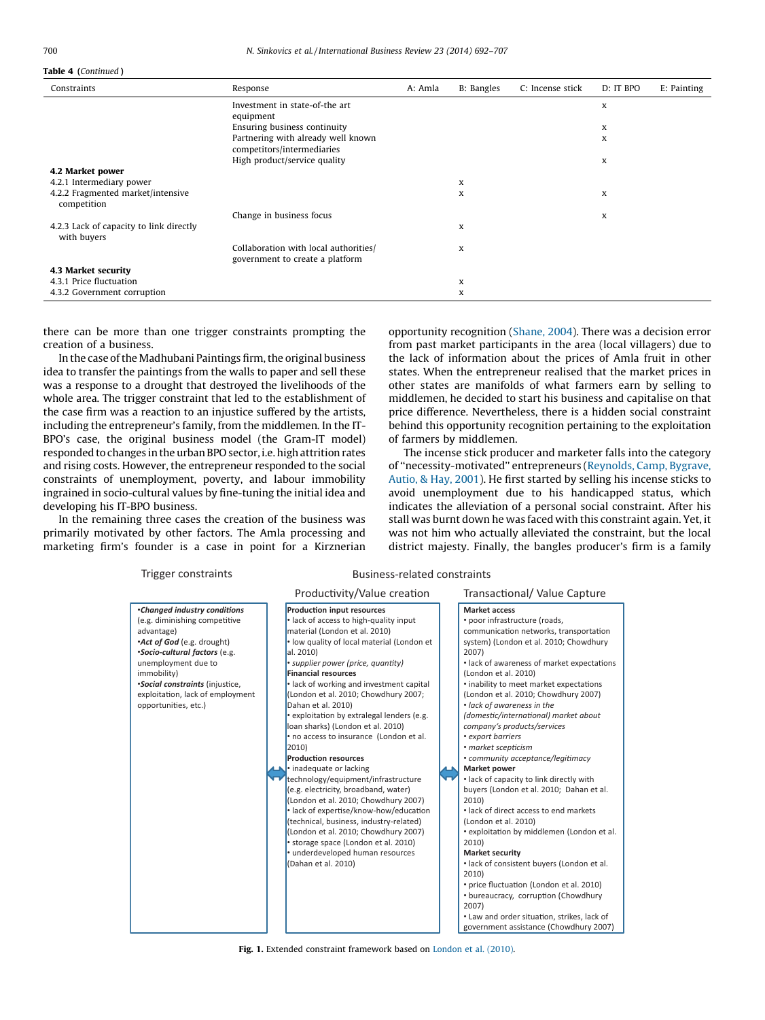# <span id="page-8-0"></span>Table 4 (Continued )

| Constraints                                            | Response                                                                 | A: Amla | <b>B</b> : Bangles | C: Incense stick | D: IT BPO | E: Painting |
|--------------------------------------------------------|--------------------------------------------------------------------------|---------|--------------------|------------------|-----------|-------------|
|                                                        | Investment in state-of-the art                                           |         |                    |                  | X         |             |
|                                                        | equipment                                                                |         |                    |                  |           |             |
|                                                        | Ensuring business continuity                                             |         |                    |                  | X         |             |
|                                                        | Partnering with already well known                                       |         |                    |                  | X         |             |
|                                                        | competitors/intermediaries                                               |         |                    |                  |           |             |
|                                                        | High product/service quality                                             |         |                    |                  | x         |             |
| 4.2 Market power                                       |                                                                          |         |                    |                  |           |             |
| 4.2.1 Intermediary power                               |                                                                          |         | x                  |                  |           |             |
| 4.2.2 Fragmented market/intensive<br>competition       |                                                                          |         | X                  |                  | x         |             |
|                                                        | Change in business focus                                                 |         |                    |                  | X         |             |
| 4.2.3 Lack of capacity to link directly<br>with buyers |                                                                          |         | X                  |                  |           |             |
|                                                        | Collaboration with local authorities/<br>government to create a platform |         | X                  |                  |           |             |
| 4.3 Market security                                    |                                                                          |         |                    |                  |           |             |
| 4.3.1 Price fluctuation                                |                                                                          |         | x                  |                  |           |             |
| 4.3.2 Government corruption                            |                                                                          |         | X                  |                  |           |             |

there can be more than one trigger constraints prompting the creation of a business.

In the case of the Madhubani Paintings firm, the original business idea to transfer the paintings from the walls to paper and sell these was a response to a drought that destroyed the livelihoods of the whole area. The trigger constraint that led to the establishment of the case firm was a reaction to an injustice suffered by the artists, including the entrepreneur's family, from the middlemen. In the IT-BPO's case, the original business model (the Gram-IT model) responded to changes in the urban BPO sector, i.e. high attrition rates and rising costs. However, the entrepreneur responded to the social constraints of unemployment, poverty, and labour immobility ingrained in socio-cultural values by fine-tuning the initial idea and developing his IT-BPO business.

In the remaining three cases the creation of the business was primarily motivated by other factors. The Amla processing and marketing firm's founder is a case in point for a Kirznerian opportunity recognition ([Shane,](#page-14-0) 2004). There was a decision error from past market participants in the area (local villagers) due to the lack of information about the prices of Amla fruit in other states. When the entrepreneur realised that the market prices in other states are manifolds of what farmers earn by selling to middlemen, he decided to start his business and capitalise on that price difference. Nevertheless, there is a hidden social constraint behind this opportunity recognition pertaining to the exploitation of farmers by middlemen.

The incense stick producer and marketer falls into the category of ''necessity-motivated'' entrepreneurs ([Reynolds,](#page-14-0) Camp, Bygrave, [Autio,](#page-14-0) & Hay, 2001). He first started by selling his incense sticks to avoid unemployment due to his handicapped status, which indicates the alleviation of a personal social constraint. After his stall was burnt down he was faced with this constraint again. Yet, it was not him who actually alleviated the constraint, but the local district majesty. Finally, the bangles producer's firm is a family

government assistance (Chowdhury 2007)

Trigger constraints Trigger constraints

Productivity/Value creati on Transactional/ Value Capture **Production input resources** lack of access to high-quality input material (London et al. 2010) • low quality of local material (London et al. 2010) • supplier power (price, quantity) **Financial resources** lack of working and investment capital (London et al. 2010; Chowdhury 2007; Dahan et al. 2010) • exploitation by extralegal lenders (e.g. loan sharks) (London et al. 2010) no access to insurance (London et al. 2010) **Production resources** inadequate or lacking technology/equipment/infrastructure (e.g. electricity, broadband, water) (London et al. 2010; Chowdhury 2007) • lack of expertise/know-how/education (technical, business, industry-related) (London et al. 2010; Chowdhury 2007) • storage space (London et al. 2010) • underdeveloped human resources (Dahan et al. 2010) **Market access** • poor infrastructure (roads, communication networks, transportation system) (London et al. 2010; Chowdhury 2007) • lack of awareness of market expectations (London et al. 2010) • inability to meet market expectations (London et al. 2010; Chowdhury 2007) • *lack of awareness in the (domestic/international) market about company's products/services* • *export barriers* • market scepticism • *community acceptance/legitimacy* **Market power** • lack of capacity to link directly with buyers (London et al. 2010; Dahan et al. 2010) • lack of direct access to end markets (London et al. 2010) • exploitation by middlemen (London et al. 2010) **Market security** • lack of consistent buyers (London et al. 2010) · price fluctuation (London et al. 2010) • bureaucracy, corruption (Chowdhury 2007) • Law and order situation, strikes, lack of **•Changed industry conditions** (e.g. diminishing competitive advantage) •*Act of God* (e.g. drought) •*Socio-cultural factors* (e.g. unemployment due to immobility) · Social constraints (injustice, exploitation, lack of employment opportunities, etc.)

Fig. 1. Extended constraint framework based on [London](#page-14-0) et al. (2010).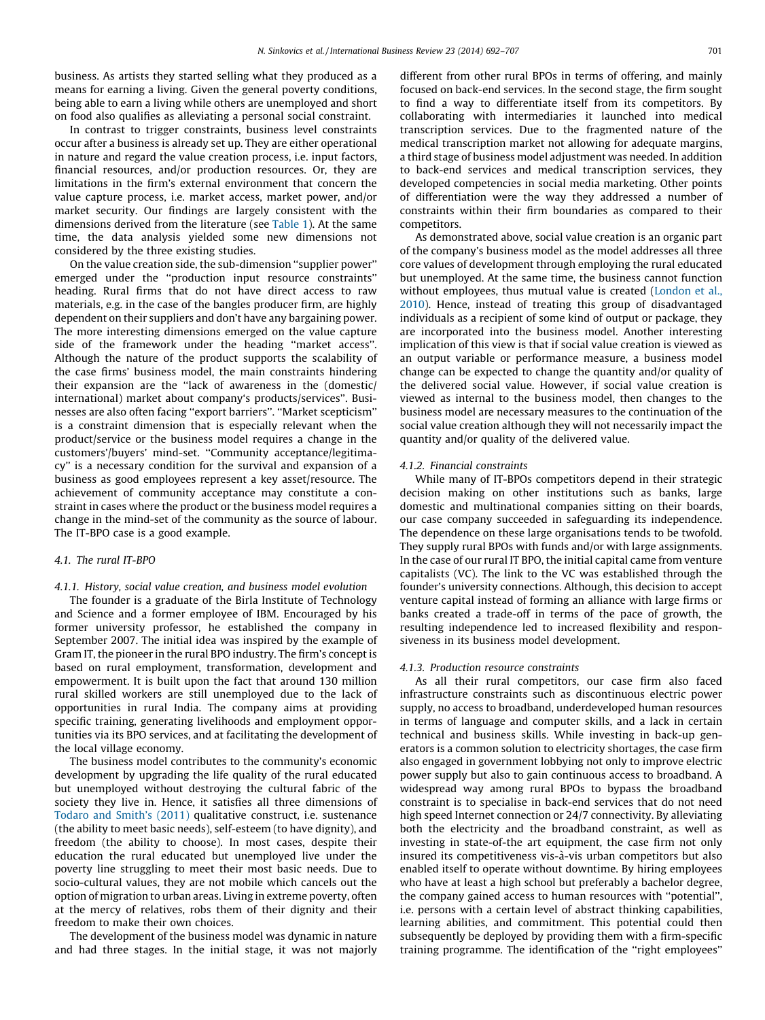business. As artists they started selling what they produced as a means for earning a living. Given the general poverty conditions, being able to earn a living while others are unemployed and short on food also qualifies as alleviating a personal social constraint.

In contrast to trigger constraints, business level constraints occur after a business is already set up. They are either operational in nature and regard the value creation process, i.e. input factors, financial resources, and/or production resources. Or, they are limitations in the firm's external environment that concern the value capture process, i.e. market access, market power, and/or market security. Our findings are largely consistent with the dimensions derived from the literature (see [Table](#page-3-0) 1). At the same time, the data analysis yielded some new dimensions not considered by the three existing studies.

On the value creation side, the sub-dimension ''supplier power'' emerged under the ''production input resource constraints'' heading. Rural firms that do not have direct access to raw materials, e.g. in the case of the bangles producer firm, are highly dependent on their suppliers and don't have any bargaining power. The more interesting dimensions emerged on the value capture side of the framework under the heading ''market access''. Although the nature of the product supports the scalability of the case firms' business model, the main constraints hindering their expansion are the ''lack of awareness in the (domestic/ international) market about company's products/services''. Businesses are also often facing ''export barriers''. ''Market scepticism'' is a constraint dimension that is especially relevant when the product/service or the business model requires a change in the customers'/buyers' mind-set. ''Community acceptance/legitimacy'' is a necessary condition for the survival and expansion of a business as good employees represent a key asset/resource. The achievement of community acceptance may constitute a constraint in cases where the product or the business model requires a change in the mind-set of the community as the source of labour. The IT-BPO case is a good example.

#### 4.1. The rural IT-BPO

#### 4.1.1. History, social value creation, and business model evolution

The founder is a graduate of the Birla Institute of Technology and Science and a former employee of IBM. Encouraged by his former university professor, he established the company in September 2007. The initial idea was inspired by the example of Gram IT, the pioneer in the rural BPO industry. The firm's concept is based on rural employment, transformation, development and empowerment. It is built upon the fact that around 130 million rural skilled workers are still unemployed due to the lack of opportunities in rural India. The company aims at providing specific training, generating livelihoods and employment opportunities via its BPO services, and at facilitating the development of the local village economy.

The business model contributes to the community's economic development by upgrading the life quality of the rural educated but unemployed without destroying the cultural fabric of the society they live in. Hence, it satisfies all three dimensions of Todaro and [Smith's](#page-14-0) (2011) qualitative construct, i.e. sustenance (the ability to meet basic needs), self-esteem (to have dignity), and freedom (the ability to choose). In most cases, despite their education the rural educated but unemployed live under the poverty line struggling to meet their most basic needs. Due to socio-cultural values, they are not mobile which cancels out the option of migration to urban areas. Living in extreme poverty, often at the mercy of relatives, robs them of their dignity and their freedom to make their own choices.

The development of the business model was dynamic in nature and had three stages. In the initial stage, it was not majorly different from other rural BPOs in terms of offering, and mainly focused on back-end services. In the second stage, the firm sought to find a way to differentiate itself from its competitors. By collaborating with intermediaries it launched into medical transcription services. Due to the fragmented nature of the medical transcription market not allowing for adequate margins, a third stage of business model adjustment was needed. In addition to back-end services and medical transcription services, they developed competencies in social media marketing. Other points of differentiation were the way they addressed a number of constraints within their firm boundaries as compared to their competitors.

As demonstrated above, social value creation is an organic part of the company's business model as the model addresses all three core values of development through employing the rural educated but unemployed. At the same time, the business cannot function without employees, thus mutual value is created ([London](#page-14-0) et al., [2010\)](#page-14-0). Hence, instead of treating this group of disadvantaged individuals as a recipient of some kind of output or package, they are incorporated into the business model. Another interesting implication of this view is that if social value creation is viewed as an output variable or performance measure, a business model change can be expected to change the quantity and/or quality of the delivered social value. However, if social value creation is viewed as internal to the business model, then changes to the business model are necessary measures to the continuation of the social value creation although they will not necessarily impact the quantity and/or quality of the delivered value.

#### 4.1.2. Financial constraints

While many of IT-BPOs competitors depend in their strategic decision making on other institutions such as banks, large domestic and multinational companies sitting on their boards, our case company succeeded in safeguarding its independence. The dependence on these large organisations tends to be twofold. They supply rural BPOs with funds and/or with large assignments. In the case of our rural IT BPO, the initial capital came from venture capitalists (VC). The link to the VC was established through the founder's university connections. Although, this decision to accept venture capital instead of forming an alliance with large firms or banks created a trade-off in terms of the pace of growth, the resulting independence led to increased flexibility and responsiveness in its business model development.

## 4.1.3. Production resource constraints

As all their rural competitors, our case firm also faced infrastructure constraints such as discontinuous electric power supply, no access to broadband, underdeveloped human resources in terms of language and computer skills, and a lack in certain technical and business skills. While investing in back-up generators is a common solution to electricity shortages, the case firm also engaged in government lobbying not only to improve electric power supply but also to gain continuous access to broadband. A widespread way among rural BPOs to bypass the broadband constraint is to specialise in back-end services that do not need high speed Internet connection or 24/7 connectivity. By alleviating both the electricity and the broadband constraint, as well as investing in state-of-the art equipment, the case firm not only insured its competitiveness vis-à-vis urban competitors but also enabled itself to operate without downtime. By hiring employees who have at least a high school but preferably a bachelor degree, the company gained access to human resources with ''potential'', i.e. persons with a certain level of abstract thinking capabilities, learning abilities, and commitment. This potential could then subsequently be deployed by providing them with a firm-specific training programme. The identification of the ''right employees''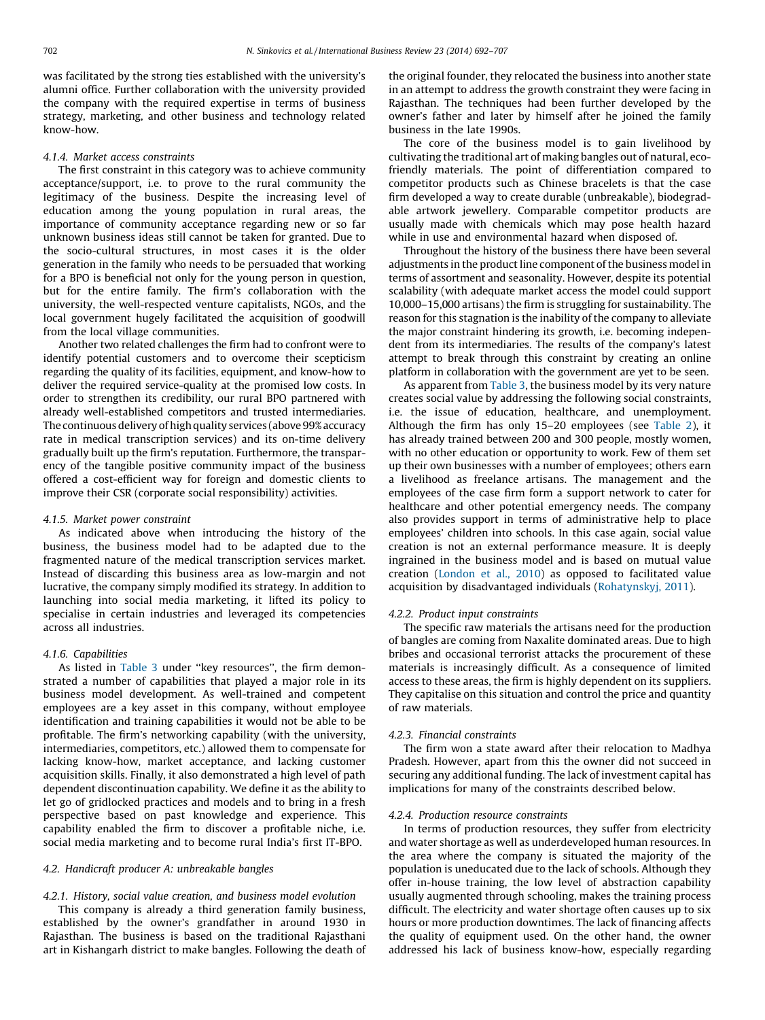was facilitated by the strong ties established with the university's alumni office. Further collaboration with the university provided the company with the required expertise in terms of business strategy, marketing, and other business and technology related know-how.

# 4.1.4. Market access constraints

The first constraint in this category was to achieve community acceptance/support, i.e. to prove to the rural community the legitimacy of the business. Despite the increasing level of education among the young population in rural areas, the importance of community acceptance regarding new or so far unknown business ideas still cannot be taken for granted. Due to the socio-cultural structures, in most cases it is the older generation in the family who needs to be persuaded that working for a BPO is beneficial not only for the young person in question, but for the entire family. The firm's collaboration with the university, the well-respected venture capitalists, NGOs, and the local government hugely facilitated the acquisition of goodwill from the local village communities.

Another two related challenges the firm had to confront were to identify potential customers and to overcome their scepticism regarding the quality of its facilities, equipment, and know-how to deliver the required service-quality at the promised low costs. In order to strengthen its credibility, our rural BPO partnered with already well-established competitors and trusted intermediaries. The continuous delivery of high quality services (above 99% accuracy rate in medical transcription services) and its on-time delivery gradually built up the firm's reputation. Furthermore, the transparency of the tangible positive community impact of the business offered a cost-efficient way for foreign and domestic clients to improve their CSR (corporate social responsibility) activities.

# 4.1.5. Market power constraint

As indicated above when introducing the history of the business, the business model had to be adapted due to the fragmented nature of the medical transcription services market. Instead of discarding this business area as low-margin and not lucrative, the company simply modified its strategy. In addition to launching into social media marketing, it lifted its policy to specialise in certain industries and leveraged its competencies across all industries.

#### 4.1.6. Capabilities

As listed in [Table](#page-5-0) 3 under "key resources", the firm demonstrated a number of capabilities that played a major role in its business model development. As well-trained and competent employees are a key asset in this company, without employee identification and training capabilities it would not be able to be profitable. The firm's networking capability (with the university, intermediaries, competitors, etc.) allowed them to compensate for lacking know-how, market acceptance, and lacking customer acquisition skills. Finally, it also demonstrated a high level of path dependent discontinuation capability. We define it as the ability to let go of gridlocked practices and models and to bring in a fresh perspective based on past knowledge and experience. This capability enabled the firm to discover a profitable niche, i.e. social media marketing and to become rural India's first IT-BPO.

#### 4.2. Handicraft producer A: unbreakable bangles

# 4.2.1. History, social value creation, and business model evolution

This company is already a third generation family business, established by the owner's grandfather in around 1930 in Rajasthan. The business is based on the traditional Rajasthani art in Kishangarh district to make bangles. Following the death of the original founder, they relocated the business into another state in an attempt to address the growth constraint they were facing in Rajasthan. The techniques had been further developed by the owner's father and later by himself after he joined the family business in the late 1990s.

The core of the business model is to gain livelihood by cultivating the traditional art of making bangles out of natural, ecofriendly materials. The point of differentiation compared to competitor products such as Chinese bracelets is that the case firm developed a way to create durable (unbreakable), biodegradable artwork jewellery. Comparable competitor products are usually made with chemicals which may pose health hazard while in use and environmental hazard when disposed of.

Throughout the history of the business there have been several adjustments in the product line component of the business model in terms of assortment and seasonality. However, despite its potential scalability (with adequate market access the model could support 10,000–15,000 artisans) the firm is struggling for sustainability. The reason for this stagnation is the inability of the company to alleviate the major constraint hindering its growth, i.e. becoming independent from its intermediaries. The results of the company's latest attempt to break through this constraint by creating an online platform in collaboration with the government are yet to be seen.

As apparent from [Table](#page-5-0) 3, the business model by its very nature creates social value by addressing the following social constraints, i.e. the issue of education, healthcare, and unemployment. Although the firm has only 15–20 employees (see [Table](#page-4-0) 2), it has already trained between 200 and 300 people, mostly women, with no other education or opportunity to work. Few of them set up their own businesses with a number of employees; others earn a livelihood as freelance artisans. The management and the employees of the case firm form a support network to cater for healthcare and other potential emergency needs. The company also provides support in terms of administrative help to place employees' children into schools. In this case again, social value creation is not an external performance measure. It is deeply ingrained in the business model and is based on mutual value creation ([London](#page-14-0) et al., 2010) as opposed to facilitated value acquisition by disadvantaged individuals ([Rohatynskyj,](#page-14-0) 2011).

#### 4.2.2. Product input constraints

The specific raw materials the artisans need for the production of bangles are coming from Naxalite dominated areas. Due to high bribes and occasional terrorist attacks the procurement of these materials is increasingly difficult. As a consequence of limited access to these areas, the firm is highly dependent on its suppliers. They capitalise on this situation and control the price and quantity of raw materials.

#### 4.2.3. Financial constraints

The firm won a state award after their relocation to Madhya Pradesh. However, apart from this the owner did not succeed in securing any additional funding. The lack of investment capital has implications for many of the constraints described below.

#### 4.2.4. Production resource constraints

In terms of production resources, they suffer from electricity and water shortage as well as underdeveloped human resources. In the area where the company is situated the majority of the population is uneducated due to the lack of schools. Although they offer in-house training, the low level of abstraction capability usually augmented through schooling, makes the training process difficult. The electricity and water shortage often causes up to six hours or more production downtimes. The lack of financing affects the quality of equipment used. On the other hand, the owner addressed his lack of business know-how, especially regarding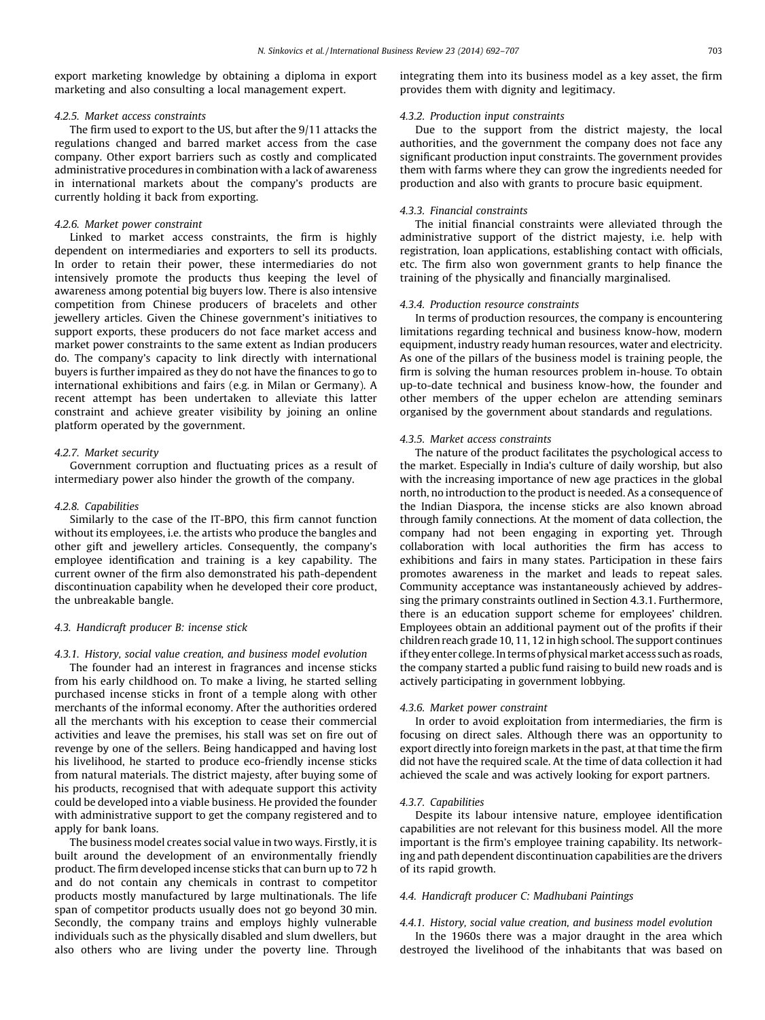export marketing knowledge by obtaining a diploma in export marketing and also consulting a local management expert.

# 4.2.5. Market access constraints

The firm used to export to the US, but after the 9/11 attacks the regulations changed and barred market access from the case company. Other export barriers such as costly and complicated administrative procedures in combination with a lack of awareness in international markets about the company's products are currently holding it back from exporting.

#### 4.2.6. Market power constraint

Linked to market access constraints, the firm is highly dependent on intermediaries and exporters to sell its products. In order to retain their power, these intermediaries do not intensively promote the products thus keeping the level of awareness among potential big buyers low. There is also intensive competition from Chinese producers of bracelets and other jewellery articles. Given the Chinese government's initiatives to support exports, these producers do not face market access and market power constraints to the same extent as Indian producers do. The company's capacity to link directly with international buyers is further impaired as they do not have the finances to go to international exhibitions and fairs (e.g. in Milan or Germany). A recent attempt has been undertaken to alleviate this latter constraint and achieve greater visibility by joining an online platform operated by the government.

# 4.2.7. Market security

Government corruption and fluctuating prices as a result of intermediary power also hinder the growth of the company.

### 4.2.8. Capabilities

Similarly to the case of the IT-BPO, this firm cannot function without its employees, i.e. the artists who produce the bangles and other gift and jewellery articles. Consequently, the company's employee identification and training is a key capability. The current owner of the firm also demonstrated his path-dependent discontinuation capability when he developed their core product, the unbreakable bangle.

# 4.3. Handicraft producer B: incense stick

# 4.3.1. History, social value creation, and business model evolution

The founder had an interest in fragrances and incense sticks from his early childhood on. To make a living, he started selling purchased incense sticks in front of a temple along with other merchants of the informal economy. After the authorities ordered all the merchants with his exception to cease their commercial activities and leave the premises, his stall was set on fire out of revenge by one of the sellers. Being handicapped and having lost his livelihood, he started to produce eco-friendly incense sticks from natural materials. The district majesty, after buying some of his products, recognised that with adequate support this activity could be developed into a viable business. He provided the founder with administrative support to get the company registered and to apply for bank loans.

The business model creates social value in two ways. Firstly, it is built around the development of an environmentally friendly product. The firm developed incense sticks that can burn up to 72 h and do not contain any chemicals in contrast to competitor products mostly manufactured by large multinationals. The life span of competitor products usually does not go beyond 30 min. Secondly, the company trains and employs highly vulnerable individuals such as the physically disabled and slum dwellers, but also others who are living under the poverty line. Through integrating them into its business model as a key asset, the firm provides them with dignity and legitimacy.

#### 4.3.2. Production input constraints

Due to the support from the district majesty, the local authorities, and the government the company does not face any significant production input constraints. The government provides them with farms where they can grow the ingredients needed for production and also with grants to procure basic equipment.

#### 4.3.3. Financial constraints

The initial financial constraints were alleviated through the administrative support of the district majesty, i.e. help with registration, loan applications, establishing contact with officials, etc. The firm also won government grants to help finance the training of the physically and financially marginalised.

# 4.3.4. Production resource constraints

In terms of production resources, the company is encountering limitations regarding technical and business know-how, modern equipment, industry ready human resources, water and electricity. As one of the pillars of the business model is training people, the firm is solving the human resources problem in-house. To obtain up-to-date technical and business know-how, the founder and other members of the upper echelon are attending seminars organised by the government about standards and regulations.

# 4.3.5. Market access constraints

The nature of the product facilitates the psychological access to the market. Especially in India's culture of daily worship, but also with the increasing importance of new age practices in the global north, no introduction to the product is needed. As a consequence of the Indian Diaspora, the incense sticks are also known abroad through family connections. At the moment of data collection, the company had not been engaging in exporting yet. Through collaboration with local authorities the firm has access to exhibitions and fairs in many states. Participation in these fairs promotes awareness in the market and leads to repeat sales. Community acceptance was instantaneously achieved by addressing the primary constraints outlined in Section 4.3.1. Furthermore, there is an education support scheme for employees' children. Employees obtain an additional payment out of the profits if their children reach grade 10, 11, 12 in high school. The support continues if they enter college. In terms of physical market access such as roads, the company started a public fund raising to build new roads and is actively participating in government lobbying.

#### 4.3.6. Market power constraint

In order to avoid exploitation from intermediaries, the firm is focusing on direct sales. Although there was an opportunity to export directly into foreign markets in the past, at that time the firm did not have the required scale. At the time of data collection it had achieved the scale and was actively looking for export partners.

#### 4.3.7. Capabilities

Despite its labour intensive nature, employee identification capabilities are not relevant for this business model. All the more important is the firm's employee training capability. Its networking and path dependent discontinuation capabilities are the drivers of its rapid growth.

# 4.4. Handicraft producer C: Madhubani Paintings

# 4.4.1. History, social value creation, and business model evolution

In the 1960s there was a major draught in the area which destroyed the livelihood of the inhabitants that was based on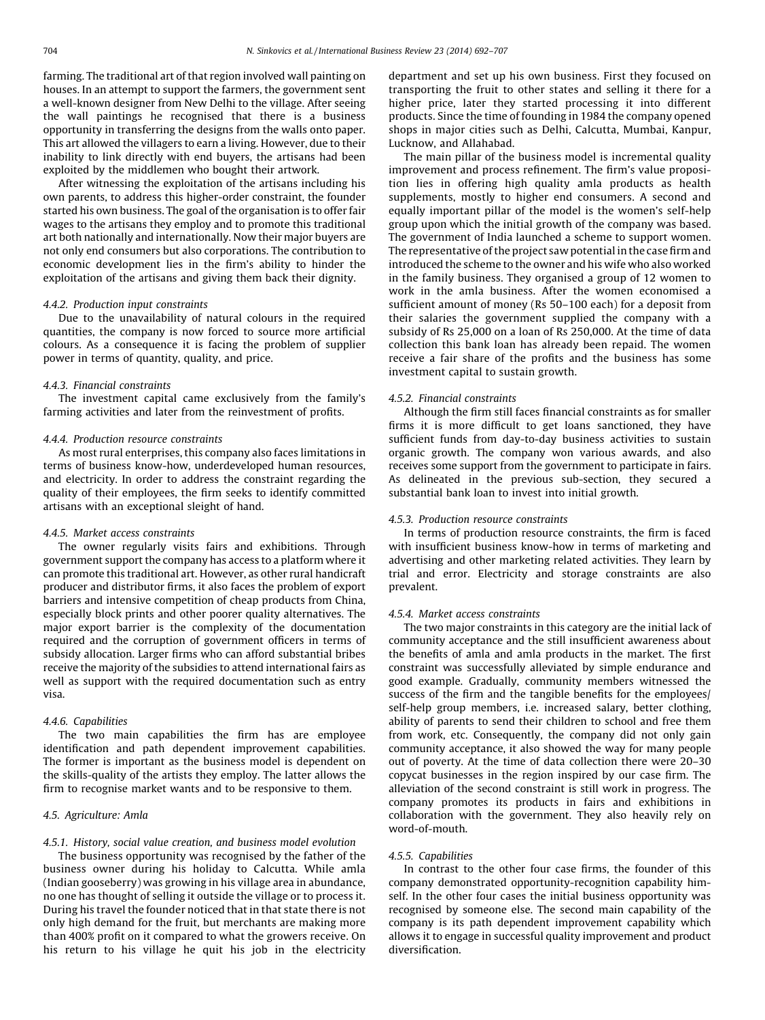farming. The traditional art of that region involved wall painting on houses. In an attempt to support the farmers, the government sent a well-known designer from New Delhi to the village. After seeing the wall paintings he recognised that there is a business opportunity in transferring the designs from the walls onto paper. This art allowed the villagers to earn a living. However, due to their inability to link directly with end buyers, the artisans had been exploited by the middlemen who bought their artwork.

After witnessing the exploitation of the artisans including his own parents, to address this higher-order constraint, the founder started his own business. The goal of the organisation is to offer fair wages to the artisans they employ and to promote this traditional art both nationally and internationally. Now their major buyers are not only end consumers but also corporations. The contribution to economic development lies in the firm's ability to hinder the exploitation of the artisans and giving them back their dignity.

#### 4.4.2. Production input constraints

Due to the unavailability of natural colours in the required quantities, the company is now forced to source more artificial colours. As a consequence it is facing the problem of supplier power in terms of quantity, quality, and price.

# 4.4.3. Financial constraints

The investment capital came exclusively from the family's farming activities and later from the reinvestment of profits.

# 4.4.4. Production resource constraints

As most rural enterprises, this company also faces limitations in terms of business know-how, underdeveloped human resources, and electricity. In order to address the constraint regarding the quality of their employees, the firm seeks to identify committed artisans with an exceptional sleight of hand.

#### 4.4.5. Market access constraints

The owner regularly visits fairs and exhibitions. Through government support the company has access to a platform where it can promote this traditional art. However, as other rural handicraft producer and distributor firms, it also faces the problem of export barriers and intensive competition of cheap products from China, especially block prints and other poorer quality alternatives. The major export barrier is the complexity of the documentation required and the corruption of government officers in terms of subsidy allocation. Larger firms who can afford substantial bribes receive the majority of the subsidies to attend international fairs as well as support with the required documentation such as entry visa.

# 4.4.6. Capabilities

The two main capabilities the firm has are employee identification and path dependent improvement capabilities. The former is important as the business model is dependent on the skills-quality of the artists they employ. The latter allows the firm to recognise market wants and to be responsive to them.

#### 4.5. Agriculture: Amla

## 4.5.1. History, social value creation, and business model evolution

The business opportunity was recognised by the father of the business owner during his holiday to Calcutta. While amla (Indian gooseberry) was growing in his village area in abundance, no one has thought of selling it outside the village or to process it. During his travel the founder noticed that in that state there is not only high demand for the fruit, but merchants are making more than 400% profit on it compared to what the growers receive. On his return to his village he quit his job in the electricity

department and set up his own business. First they focused on transporting the fruit to other states and selling it there for a higher price, later they started processing it into different products. Since the time of founding in 1984 the company opened shops in major cities such as Delhi, Calcutta, Mumbai, Kanpur, Lucknow, and Allahabad.

The main pillar of the business model is incremental quality improvement and process refinement. The firm's value proposition lies in offering high quality amla products as health supplements, mostly to higher end consumers. A second and equally important pillar of the model is the women's self-help group upon which the initial growth of the company was based. The government of India launched a scheme to support women. The representative ofthe project saw potential in the case firm and introduced the scheme to the owner and his wife who also worked in the family business. They organised a group of 12 women to work in the amla business. After the women economised a sufficient amount of money (Rs 50–100 each) for a deposit from their salaries the government supplied the company with a subsidy of Rs 25,000 on a loan of Rs 250,000. At the time of data collection this bank loan has already been repaid. The women receive a fair share of the profits and the business has some investment capital to sustain growth.

#### 4.5.2. Financial constraints

Although the firm still faces financial constraints as for smaller firms it is more difficult to get loans sanctioned, they have sufficient funds from day-to-day business activities to sustain organic growth. The company won various awards, and also receives some support from the government to participate in fairs. As delineated in the previous sub-section, they secured a substantial bank loan to invest into initial growth.

#### 4.5.3. Production resource constraints

In terms of production resource constraints, the firm is faced with insufficient business know-how in terms of marketing and advertising and other marketing related activities. They learn by trial and error. Electricity and storage constraints are also prevalent.

#### 4.5.4. Market access constraints

The two major constraints in this category are the initial lack of community acceptance and the still insufficient awareness about the benefits of amla and amla products in the market. The first constraint was successfully alleviated by simple endurance and good example. Gradually, community members witnessed the success of the firm and the tangible benefits for the employees/ self-help group members, i.e. increased salary, better clothing, ability of parents to send their children to school and free them from work, etc. Consequently, the company did not only gain community acceptance, it also showed the way for many people out of poverty. At the time of data collection there were 20–30 copycat businesses in the region inspired by our case firm. The alleviation of the second constraint is still work in progress. The company promotes its products in fairs and exhibitions in collaboration with the government. They also heavily rely on word-of-mouth.

#### 4.5.5. Capabilities

In contrast to the other four case firms, the founder of this company demonstrated opportunity-recognition capability himself. In the other four cases the initial business opportunity was recognised by someone else. The second main capability of the company is its path dependent improvement capability which allows it to engage in successful quality improvement and product diversification.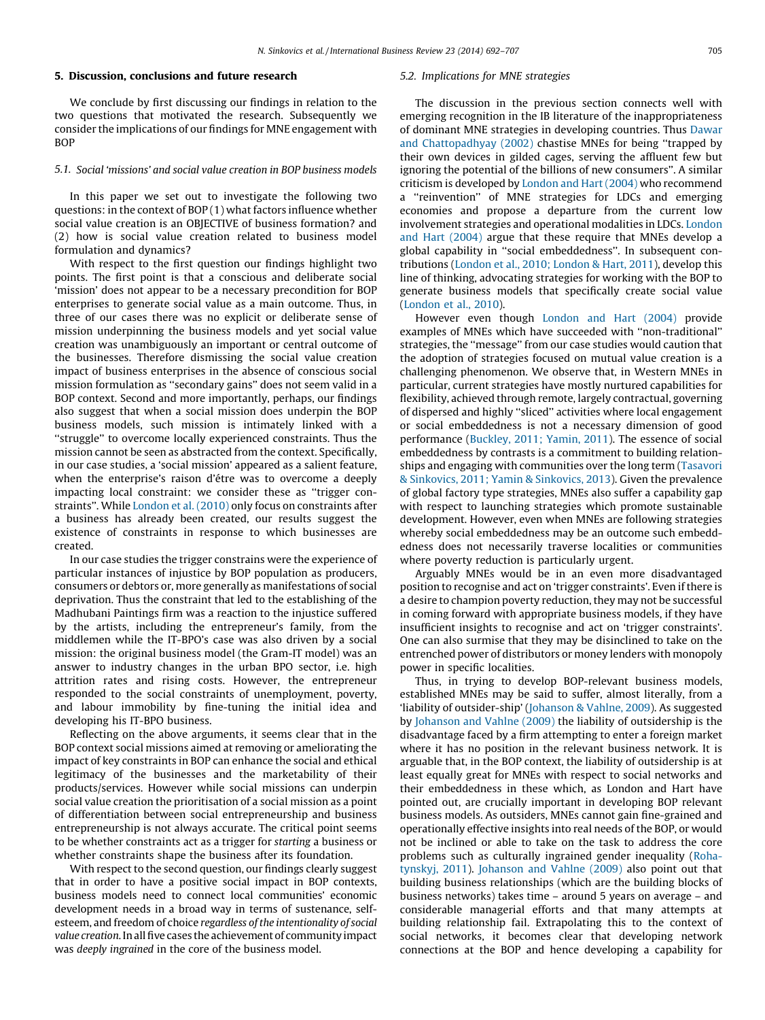# 5. Discussion, conclusions and future research

We conclude by first discussing our findings in relation to the two questions that motivated the research. Subsequently we consider the implications of our findings for MNE engagement with BOP

# 5.1. Social 'missions' and social value creation in BOP business models

In this paper we set out to investigate the following two questions: in the context of BOP (1) what factors influence whether social value creation is an OBJECTIVE of business formation? and (2) how is social value creation related to business model formulation and dynamics?

With respect to the first question our findings highlight two points. The first point is that a conscious and deliberate social 'mission' does not appear to be a necessary precondition for BOP enterprises to generate social value as a main outcome. Thus, in three of our cases there was no explicit or deliberate sense of mission underpinning the business models and yet social value creation was unambiguously an important or central outcome of the businesses. Therefore dismissing the social value creation impact of business enterprises in the absence of conscious social mission formulation as ''secondary gains'' does not seem valid in a BOP context. Second and more importantly, perhaps, our findings also suggest that when a social mission does underpin the BOP business models, such mission is intimately linked with a ''struggle'' to overcome locally experienced constraints. Thus the mission cannot be seen as abstracted from the context. Specifically, in our case studies, a 'social mission' appeared as a salient feature, when the enterprise's raison d'étre was to overcome a deeply impacting local constraint: we consider these as "trigger constraints''. While [London](#page-14-0) et al. (2010) only focus on constraints after a business has already been created, our results suggest the existence of constraints in response to which businesses are created.

In our case studies the trigger constrains were the experience of particular instances of injustice by BOP population as producers, consumers or debtors or, more generally as manifestations of social deprivation. Thus the constraint that led to the establishing of the Madhubani Paintings firm was a reaction to the injustice suffered by the artists, including the entrepreneur's family, from the middlemen while the IT-BPO's case was also driven by a social mission: the original business model (the Gram-IT model) was an answer to industry changes in the urban BPO sector, i.e. high attrition rates and rising costs. However, the entrepreneur responded to the social constraints of unemployment, poverty, and labour immobility by fine-tuning the initial idea and developing his IT-BPO business.

Reflecting on the above arguments, it seems clear that in the BOP context social missions aimed at removing or ameliorating the impact of key constraints in BOP can enhance the social and ethical legitimacy of the businesses and the marketability of their products/services. However while social missions can underpin social value creation the prioritisation of a social mission as a point of differentiation between social entrepreneurship and business entrepreneurship is not always accurate. The critical point seems to be whether constraints act as a trigger for starting a business or whether constraints shape the business after its foundation.

With respect to the second question, our findings clearly suggest that in order to have a positive social impact in BOP contexts, business models need to connect local communities' economic development needs in a broad way in terms of sustenance, selfesteem, and freedom of choice regardless of the intentionality of social value creation. In all five cases the achievement of community impact was deeply ingrained in the core of the business model.

#### 5.2. Implications for MNE strategies

The discussion in the previous section connects well with emerging recognition in the IB literature of the inappropriateness of dominant MNE strategies in developing countries. Thus [Dawar](#page-14-0) and [Chattopadhyay](#page-14-0) (2002) chastise MNEs for being ''trapped by their own devices in gilded cages, serving the affluent few but ignoring the potential of the billions of new consumers''. A similar criticism is developed by [London](#page-14-0) and Hart (2004) who recommend a ''reinvention'' of MNE strategies for LDCs and emerging economies and propose a departure from the current low involvement strategies and operational modalities in LDCs. [London](#page-14-0) and Hart [\(2004\)](#page-14-0) argue that these require that MNEs develop a global capability in ''social embeddedness''. In subsequent contributions [\(London](#page-14-0) et al., 2010; London & Hart, 2011), develop this line of thinking, advocating strategies for working with the BOP to generate business models that specifically create social value ([London](#page-14-0) et al., 2010).

However even though [London](#page-14-0) and Hart (2004) provide examples of MNEs which have succeeded with ''non-traditional'' strategies, the ''message'' from our case studies would caution that the adoption of strategies focused on mutual value creation is a challenging phenomenon. We observe that, in Western MNEs in particular, current strategies have mostly nurtured capabilities for flexibility, achieved through remote, largely contractual, governing of dispersed and highly ''sliced'' activities where local engagement or social embeddedness is not a necessary dimension of good performance [\(Buckley,](#page-14-0) 2011; Yamin, 2011). The essence of social embeddedness by contrasts is a commitment to building relationships and engaging with communities over the long term ([Tasavori](#page-14-0) & [Sinkovics,](#page-14-0) 2011; Yamin & Sinkovics, 2013). Given the prevalence of global factory type strategies, MNEs also suffer a capability gap with respect to launching strategies which promote sustainable development. However, even when MNEs are following strategies whereby social embeddedness may be an outcome such embeddedness does not necessarily traverse localities or communities where poverty reduction is particularly urgent.

Arguably MNEs would be in an even more disadvantaged position to recognise and act on 'trigger constraints'. Even if there is a desire to champion poverty reduction, they may not be successful in coming forward with appropriate business models, if they have insufficient insights to recognise and act on 'trigger constraints'. One can also surmise that they may be disinclined to take on the entrenched power of distributors or money lenders with monopoly power in specific localities.

Thus, in trying to develop BOP-relevant business models, established MNEs may be said to suffer, almost literally, from a 'liability of outsider-ship' [\(Johanson](#page-14-0) & Vahlne, 2009). As suggested by [Johanson](#page-14-0) and Vahlne (2009) the liability of outsidership is the disadvantage faced by a firm attempting to enter a foreign market where it has no position in the relevant business network. It is arguable that, in the BOP context, the liability of outsidership is at least equally great for MNEs with respect to social networks and their embeddedness in these which, as London and Hart have pointed out, are crucially important in developing BOP relevant business models. As outsiders, MNEs cannot gain fine-grained and operationally effective insights into real needs of the BOP, or would not be inclined or able to take on the task to address the core problems such as culturally ingrained gender inequality [\(Roha](#page-14-0)[tynskyj,](#page-14-0) 2011). [Johanson](#page-14-0) and Vahlne (2009) also point out that building business relationships (which are the building blocks of business networks) takes time – around 5 years on average – and considerable managerial efforts and that many attempts at building relationship fail. Extrapolating this to the context of social networks, it becomes clear that developing network connections at the BOP and hence developing a capability for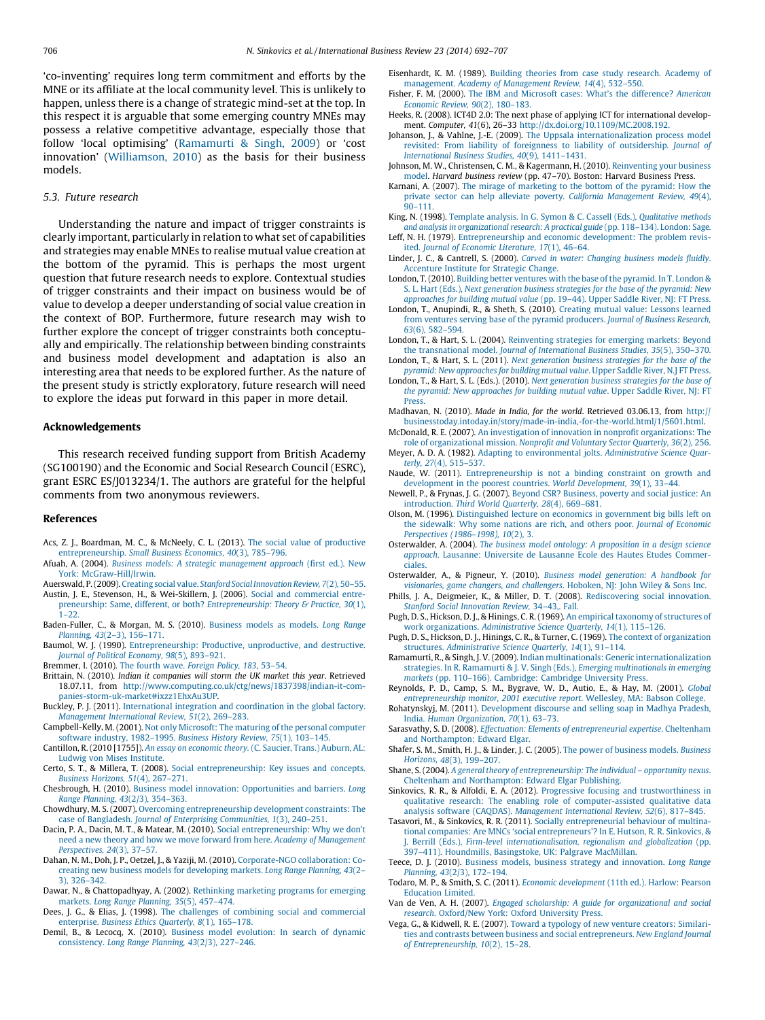<span id="page-14-0"></span>'co-inventing' requires long term commitment and efforts by the MNE or its affiliate at the local community level. This is unlikely to happen, unless there is a change of strategic mind-set at the top. In this respect it is arguable that some emerging country MNEs may possess a relative competitive advantage, especially those that follow 'local optimising' (Ramamurti & Singh, 2009) or 'cost innovation' [\(Williamson,](#page-15-0) 2010) as the basis for their business models.

# 5.3. Future research

Understanding the nature and impact of trigger constraints is clearly important, particularly in relation to what set of capabilities and strategies may enable MNEs to realise mutual value creation at the bottom of the pyramid. This is perhaps the most urgent question that future research needs to explore. Contextual studies of trigger constraints and their impact on business would be of value to develop a deeper understanding of social value creation in the context of BOP. Furthermore, future research may wish to further explore the concept of trigger constraints both conceptually and empirically. The relationship between binding constraints and business model development and adaptation is also an interesting area that needs to be explored further. As the nature of the present study is strictly exploratory, future research will need to explore the ideas put forward in this paper in more detail.

# Acknowledgements

This research received funding support from British Academy (SG100190) and the Economic and Social Research Council (ESRC), grant ESRC ES/J013234/1. The authors are grateful for the helpful comments from two anonymous reviewers.

#### References

- Acs, Z. J., Boardman, M. C., & McNeely, C. L. (2013). The social value of [productive](http://refhub.elsevier.com/S0969-5931(13)00163-7/sbref0005) [entrepreneurship.](http://refhub.elsevier.com/S0969-5931(13)00163-7/sbref0005) Small Business Economics, 40(3), 785–796.
- Afuah, A. (2004). Business models: A strategic [management](http://refhub.elsevier.com/S0969-5931(13)00163-7/sbref0010) approach (first ed.). New York: [McGraw-Hill/Irwin.](http://refhub.elsevier.com/S0969-5931(13)00163-7/sbref0010)
- Auerswald, P.(2009). Creating social value. Stanford Social [Innovation](http://refhub.elsevier.com/S0969-5931(13)00163-7/sbref0015) Review, 7(2), 50–55. Austin, J. E., Stevenson, H., & Wei-Skillern, J. (2006). Social and [commercial](http://refhub.elsevier.com/S0969-5931(13)00163-7/sbref0020) entre-
- preneurship: Same, different, or both? [Entrepreneurship:](http://refhub.elsevier.com/S0969-5931(13)00163-7/sbref0020) Theory & Practice, 30(1),  $1 - 22$
- Baden-Fuller, C., & Morgan, M. S. (2010). [Business](http://refhub.elsevier.com/S0969-5931(13)00163-7/sbref0025) models as models. Long Range [Planning,](http://refhub.elsevier.com/S0969-5931(13)00163-7/sbref0025) 43(2–3), 156–171.
- Baumol, W. J. (1990). [Entrepreneurship:](http://refhub.elsevier.com/S0969-5931(13)00163-7/sbref0030) Productive, unproductive, and destructive. Journal of Political [Economy,](http://refhub.elsevier.com/S0969-5931(13)00163-7/sbref0030) 98(5), 893–921.
- Bremmer, I. (2010). The fourth wave. [Foreign](http://refhub.elsevier.com/S0969-5931(13)00163-7/sbref0035) Policy, 183, 53–54.
- Brittain, N. (2010). Indian it companies will storm the UK market this year. Retrieved 18.07.11, from [http://www.computing.co.uk/ctg/news/1837398/indian-it-com](http://www.computing.co.uk/ctg/news/1837398/indian-it-companies-storm-uk-market#ixzz1EhxAu3UP)[panies-storm-uk-market#ixzz1EhxAu3UP](http://www.computing.co.uk/ctg/news/1837398/indian-it-companies-storm-uk-market#ixzz1EhxAu3UP).
- Buckley, P. J. (2011). [International](http://refhub.elsevier.com/S0969-5931(13)00163-7/sbref0045) integration and coordination in the global factory. Management [International](http://refhub.elsevier.com/S0969-5931(13)00163-7/sbref0045) Review, 51(2), 269–283.
- Campbell-Kelly, M. (2001). Not only [Microsoft:](http://refhub.elsevier.com/S0969-5931(13)00163-7/sbref0050) The maturing of the personal computer software industry, [1982–1995.](http://refhub.elsevier.com/S0969-5931(13)00163-7/sbref0050) Business History Review, 75(1), 103–145.
- Cantillon, R. (2010 [1755]). An essay on [economic](http://refhub.elsevier.com/S0969-5931(13)00163-7/sbref0055) theory. (C. Saucier, Trans.) Auburn, AL: Ludwig von Mises [Institute.](http://refhub.elsevier.com/S0969-5931(13)00163-7/sbref0055)
- Certo, S. T., & Millera, T. (2008). Social [entrepreneurship:](http://refhub.elsevier.com/S0969-5931(13)00163-7/sbref0060) Key issues and concepts. Business [Horizons,](http://refhub.elsevier.com/S0969-5931(13)00163-7/sbref0060) 51(4), 267–271.
- Chesbrough, H. (2010). Business model innovation: [Opportunities](http://refhub.elsevier.com/S0969-5931(13)00163-7/sbref0065) and barriers. Long Range [Planning,](http://refhub.elsevier.com/S0969-5931(13)00163-7/sbref0065) 43(2/3), 354–363.
- Chowdhury, M. S. (2007). Overcoming [entrepreneurship](http://refhub.elsevier.com/S0969-5931(13)00163-7/sbref1070) development constraints: The case of Bangladesh. Journal of Enterprising [Communities,](http://refhub.elsevier.com/S0969-5931(13)00163-7/sbref1070) 1(3), 240–251.
- Dacin, P. A., Dacin, M. T., & Matear, M. (2010). Social [entrepreneurship:](http://refhub.elsevier.com/S0969-5931(13)00163-7/sbref0070) Why we don't need a new theory and how we move forward from here. Academy of [Management](http://refhub.elsevier.com/S0969-5931(13)00163-7/sbref0070) [Perspectives,](http://refhub.elsevier.com/S0969-5931(13)00163-7/sbref0070) 24(3), 37–57.
- Dahan, N. M., Doh, J. P., Oetzel, J., & Yaziji, M. (2010). [Corporate-NGO](http://refhub.elsevier.com/S0969-5931(13)00163-7/sbref0075) collaboration: Cocreating new business models for [developing](http://refhub.elsevier.com/S0969-5931(13)00163-7/sbref0075) markets. Long Range Planning, 43(2– 3), [326–342](http://refhub.elsevier.com/S0969-5931(13)00163-7/sbref0075).
- Dawar, N., & Chattopadhyay, A. (2002). [Rethinking](http://refhub.elsevier.com/S0969-5931(13)00163-7/sbref0080) marketing programs for emerging markets. Long Range [Planning,](http://refhub.elsevier.com/S0969-5931(13)00163-7/sbref0080) 35(5), 457–474.
- Dees, J. G., & Elias, J. (1998). The challenges of combining social and [commercial](http://refhub.elsevier.com/S0969-5931(13)00163-7/sbref0085) [enterprise.](http://refhub.elsevier.com/S0969-5931(13)00163-7/sbref0085) Business Ethics Quarterly, 8(1), 165-178.
- Demil, B., & Lecocq, X. (2010). Business model [evolution:](http://refhub.elsevier.com/S0969-5931(13)00163-7/sbref0090) In search of dynamic [consistency.](http://refhub.elsevier.com/S0969-5931(13)00163-7/sbref0090) Long Range Planning, 43(2/3), 227–246.
- Eisenhardt, K. M. (1989). Building theories from case study research. [Academy](http://refhub.elsevier.com/S0969-5931(13)00163-7/sbref0095) of [management.](http://refhub.elsevier.com/S0969-5931(13)00163-7/sbref0095) Academy of Management Review, 14(4), 532–550.
- Fisher, F. M. (2000). The IBM and Microsoft cases: What's the [difference?](http://refhub.elsevier.com/S0969-5931(13)00163-7/sbref0100) American [Economic](http://refhub.elsevier.com/S0969-5931(13)00163-7/sbref0100) Review, 90(2), 180–183.
- Heeks, R. (2008). ICT4D 2.0: The next phase of applying ICT for international development. Computer, 41(6), 26–33 <http://dx.doi.org/10.1109/MC.2008.192>.
- Johanson, J., & Vahlne, J.-E. (2009). The Uppsala [internationalization](http://refhub.elsevier.com/S0969-5931(13)00163-7/sbref0110) process model revisited: From liability of foreignness to liability of [outsidership.](http://refhub.elsevier.com/S0969-5931(13)00163-7/sbref0110) Journal of [International](http://refhub.elsevier.com/S0969-5931(13)00163-7/sbref0110) Business Studies, 40(9), 1411–1431.
- Johnson, M. W., Christensen, C. M., & Kagermann, H. (2010). [Reinventing](http://refhub.elsevier.com/S0969-5931(13)00163-7/sbref0115) your business [model](http://refhub.elsevier.com/S0969-5931(13)00163-7/sbref0115). Harvard business review (pp. 47–70). Boston: Harvard Business Press.
- Karnani, A. (2007). The mirage of [marketing](http://refhub.elsevier.com/S0969-5931(13)00163-7/sbref0120) to the bottom of the pyramid: How the private sector can help alleviate poverty. California [Management](http://refhub.elsevier.com/S0969-5931(13)00163-7/sbref0120) Review, 49(4), [90–111.](http://refhub.elsevier.com/S0969-5931(13)00163-7/sbref0120)
- King, N. (1998). Template analysis. In G. Symon & C. Cassell (Eds.), [Qualitative](http://refhub.elsevier.com/S0969-5931(13)00163-7/sbref0125) methods and analysis in [organizational](http://refhub.elsevier.com/S0969-5931(13)00163-7/sbref0125) research: A practical guide (pp. 118–134). London: Sage.
- Leff, N. H. (1979). [Entrepreneurship](http://refhub.elsevier.com/S0969-5931(13)00163-7/sbref0130) and economic development: The problem revisited. Journal of Economic [Literature,](http://refhub.elsevier.com/S0969-5931(13)00163-7/sbref0130) 17(1), 46–64.
- Linder, J. C., & Cantrell, S. (2000). Carved in water: [Changing](http://refhub.elsevier.com/S0969-5931(13)00163-7/sbref0135) business models fluidly. [Accenture](http://refhub.elsevier.com/S0969-5931(13)00163-7/sbref0135) Institute for Strategic Change.
- London, T. (2010). Building better ventures with the base of the [pyramid.](http://refhub.elsevier.com/S0969-5931(13)00163-7/sbref0140) In T. London & S. L. Hart (Eds.), Next [generation](http://refhub.elsevier.com/S0969-5931(13)00163-7/sbref0140) business strategies for the base of the pyramid: New [approaches](http://refhub.elsevier.com/S0969-5931(13)00163-7/sbref0140) for building mutual value (pp. 19–44). Upper Saddle River, NJ: FT Press.
- London, T., Anupindi, R., & Sheth, S. (2010). [Creating](http://refhub.elsevier.com/S0969-5931(13)00163-7/sbref0145) mutual value: Lessons learned from ventures serving base of the pyramid [producers.](http://refhub.elsevier.com/S0969-5931(13)00163-7/sbref0145) Journal of Business Research, 63(6), [582–594.](http://refhub.elsevier.com/S0969-5931(13)00163-7/sbref0145)
- London, T., & Hart, S. L. (2004). [Reinventing](http://refhub.elsevier.com/S0969-5931(13)00163-7/sbref0150) strategies for emerging markets: Beyond the [transnational](http://refhub.elsevier.com/S0969-5931(13)00163-7/sbref0150) model. Journal of International Business Studies, 35(5), 350–370.
- London, T., & Hart, S. L. (2011). Next [generation](http://refhub.elsevier.com/S0969-5931(13)00163-7/sbref0155) business strategies for the base of the pyramid: New [approaches](http://refhub.elsevier.com/S0969-5931(13)00163-7/sbref0155) for building mutual value. Upper Saddle River, N.J FT Press. London, T., & Hart, S. L. (Eds.). (2010). Next [generation](http://refhub.elsevier.com/S0969-5931(13)00163-7/sbref0160) business strategies for the base of
- the pyramid: New [approaches](http://refhub.elsevier.com/S0969-5931(13)00163-7/sbref0160) for building mutual value. Upper Saddle River, NJ: FT [Press.](http://refhub.elsevier.com/S0969-5931(13)00163-7/sbref0160)
- Madhavan, N. (2010). Made in India, for the world. Retrieved 03.06.13, from [http://](http://businesstoday.intoday.in/story/made-in-india,-for-the-world.html/1/5601.html) [businesstoday.intoday.in/story/made-in-india,-for-the-world.html/1/5601.html](http://businesstoday.intoday.in/story/made-in-india,-for-the-world.html/1/5601.html).
- McDonald, R. E. (2007). An investigation of innovation in nonprofit [organizations:](http://refhub.elsevier.com/S0969-5931(13)00163-7/sbref0170) The role of [organizational](http://refhub.elsevier.com/S0969-5931(13)00163-7/sbref0170) mission. Nonprofit and Voluntary Sector Quarterly, 36(2), 256.
- Meyer, A. D. A. (1982). Adapting to [environmental](http://refhub.elsevier.com/S0969-5931(13)00163-7/sbref0175) jolts. Administrative Science Quarterly, 27(4), [515–537](http://refhub.elsevier.com/S0969-5931(13)00163-7/sbref0175).
- Naude, W. (2011). [Entrepreneurship](http://refhub.elsevier.com/S0969-5931(13)00163-7/sbref0180) is not a binding constraint on growth and development in the poorest countries. World [Development,](http://refhub.elsevier.com/S0969-5931(13)00163-7/sbref0180) 39(1), 33–44.
- Newell, P., & Frynas, J. G. (2007). Beyond CSR? [Business,](http://refhub.elsevier.com/S0969-5931(13)00163-7/sbref0185) poverty and social justice: An [introduction.](http://refhub.elsevier.com/S0969-5931(13)00163-7/sbref0185) Third World Quarterly, 28(4), 669–681.
- Olson, M. (1996). [Distinguished](http://refhub.elsevier.com/S0969-5931(13)00163-7/sbref0190) lecture on economics in government big bills left on the [sidewalk:](http://refhub.elsevier.com/S0969-5931(13)00163-7/sbref0190) Why some nations are rich, and others poor. Journal of Economic Perspectives [\(1986–1998\),](http://refhub.elsevier.com/S0969-5931(13)00163-7/sbref0190) 10(2), 3.
- Osterwalder, A. (2004). The business model ontology: A [proposition](http://refhub.elsevier.com/S0969-5931(13)00163-7/sbref0195) in a design science approach. Lausanne: [Universite](http://refhub.elsevier.com/S0969-5931(13)00163-7/sbref0195) de Lausanne Ecole des Hautes Etudes Commer[ciales](http://refhub.elsevier.com/S0969-5931(13)00163-7/sbref0195).
- Osterwalder, A., & Pigneur, Y. (2010). Business model [generation:](http://refhub.elsevier.com/S0969-5931(13)00163-7/sbref0200) A handbook for visionaries, game changers, and [challengers](http://refhub.elsevier.com/S0969-5931(13)00163-7/sbref0200). Hoboken, NJ: John Wiley & Sons Inc.
- Phills, J. A., Deigmeier, K., & Miller, D. T. (2008). [Rediscovering](http://refhub.elsevier.com/S0969-5931(13)00163-7/sbref0205) social innovation. Stanford Social [Innovation](http://refhub.elsevier.com/S0969-5931(13)00163-7/sbref0205) Review, 34–43,. Fall.
- Pugh, D. S., Hickson, D. J., & Hinings, C. R.(1969). An empirical taxonomy of [structures](http://refhub.elsevier.com/S0969-5931(13)00163-7/sbref0210) of work [organizations.](http://refhub.elsevier.com/S0969-5931(13)00163-7/sbref0210) Administrative Science Quarterly, 14(1), 115–126.
- Pugh, D. S., Hickson, D. J., Hinings, C. R., & Turner, C. (1969). The context of [organization](http://refhub.elsevier.com/S0969-5931(13)00163-7/sbref0215) structures. [Administrative](http://refhub.elsevier.com/S0969-5931(13)00163-7/sbref0215) Science Quarterly, 14(1), 91–114.
- Ramamurti, R., & Singh, J. V. (2009). Indian multinationals: Generic [internationalization](http://refhub.elsevier.com/S0969-5931(13)00163-7/sbref0220) strategies. In R. Ramamurti & J. V. Singh (Eds.), Emerging [multinationals](http://refhub.elsevier.com/S0969-5931(13)00163-7/sbref0220) in emerging markets (pp. 110–166). [Cambridge:](http://refhub.elsevier.com/S0969-5931(13)00163-7/sbref0220) Cambridge University Press.
- Reynolds, P. D., Camp, S. M., Bygrave, W. D., Autio, E., & Hay, M. (2001). [Global](http://refhub.elsevier.com/S0969-5931(13)00163-7/sbref0225) [entrepreneurship](http://refhub.elsevier.com/S0969-5931(13)00163-7/sbref0225) monitor, 2001 executive report. Wellesley, MA: Babson College.
- Rohatynskyj, M. (2011). [Development](http://refhub.elsevier.com/S0969-5931(13)00163-7/sbref0230) discourse and selling soap in Madhya Pradesh, India. Human [Organization,](http://refhub.elsevier.com/S0969-5931(13)00163-7/sbref0230) 70(1), 63–73.
- Sarasvathy, S. D. (2008). Effectuation: Elements of [entrepreneurial](http://refhub.elsevier.com/S0969-5931(13)00163-7/sbref0235) expertise. Cheltenham and [Northampton:](http://refhub.elsevier.com/S0969-5931(13)00163-7/sbref0235) Edward Elgar.
- Shafer, S. M., Smith, H. J., & Linder, J. C. (2005). The power of [business](http://refhub.elsevier.com/S0969-5931(13)00163-7/sbref0240) models. Business [Horizons,](http://refhub.elsevier.com/S0969-5931(13)00163-7/sbref0240) 48(3), 199–207.
- Shane, S. (2004). A general theory of [entrepreneurship:](http://refhub.elsevier.com/S0969-5931(13)00163-7/sbref0245) The individual opportunity nexus. Cheltenham and [Northampton:](http://refhub.elsevier.com/S0969-5931(13)00163-7/sbref0245) Edward Elgar Publishing.
- Sinkovics, R. R., & Alfoldi, E. A. (2012). Progressive focusing and [trustworthiness](http://refhub.elsevier.com/S0969-5931(13)00163-7/sbref0250) in qualitative research: The enabling role of [computer-assisted](http://refhub.elsevier.com/S0969-5931(13)00163-7/sbref0250) qualitative data analysis software (CAQDAS). [Management](http://refhub.elsevier.com/S0969-5931(13)00163-7/sbref0250) International Review, 52(6), 817–845.
- Tasavori, M., & Sinkovics, R. R. (2011). Socially [entrepreneurial](http://refhub.elsevier.com/S0969-5931(13)00163-7/sbref0255) behaviour of multinational companies: Are MNCs 'social [entrepreneurs'?](http://refhub.elsevier.com/S0969-5931(13)00163-7/sbref0255) In E. Hutson, R. R. Sinkovics, & J. Berrill (Eds.), Firm-level [internationalisation,](http://refhub.elsevier.com/S0969-5931(13)00163-7/sbref0255) regionalism and globalization (pp. 397–411). Houndmills, [Basingstoke,](http://refhub.elsevier.com/S0969-5931(13)00163-7/sbref0255) UK: Palgrave MacMillan.
- Teece, D. J. (2010). Business models, business strategy and [innovation.](http://refhub.elsevier.com/S0969-5931(13)00163-7/sbref0260) Long Range Planning, 43(2/3), [172–194.](http://refhub.elsevier.com/S0969-5931(13)00163-7/sbref0260)
- Todaro, M. P., & Smith, S. C. (2011). Economic [development](http://refhub.elsevier.com/S0969-5931(13)00163-7/sbref0265) (11th ed.). Harlow: Pearson [Education](http://refhub.elsevier.com/S0969-5931(13)00163-7/sbref0265) Limited.
- Van de Ven, A. H. (2007). Engaged scholarship: A guide for [organizational](http://refhub.elsevier.com/S0969-5931(13)00163-7/sbref0270) and social research. [Oxford/New](http://refhub.elsevier.com/S0969-5931(13)00163-7/sbref0270) York: Oxford University Press.
- Vega, G., & Kidwell, R. E. (2007). Toward a typology of new venture [creators:](http://refhub.elsevier.com/S0969-5931(13)00163-7/sbref0275) Similarities and contrasts between business and social [entrepreneurs.](http://refhub.elsevier.com/S0969-5931(13)00163-7/sbref0275) New England Journal of [Entrepreneurship,](http://refhub.elsevier.com/S0969-5931(13)00163-7/sbref0275) 10(2), 15–28.